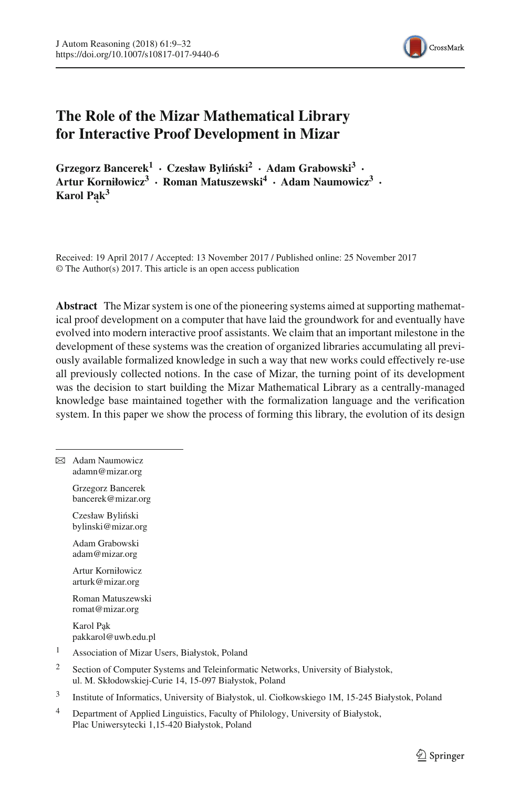

# **The Role of the Mizar Mathematical Library for Interactive Proof Development in Mizar**

 $G$ rzegorz Bancerek<sup>1</sup> • Czesław Byliński<sup>2</sup> • Adam Grabowski<sup>3</sup> • **Artur Korniłowicz<sup>3</sup> · Roman Matuszewski<sup>4</sup> · Adam Naumowicz<sup>3</sup> · Karol Pak<sup>3</sup>** 

Received: 19 April 2017 / Accepted: 13 November 2017 / Published online: 25 November 2017 © The Author(s) 2017. This article is an open access publication

**Abstract** The Mizar system is one of the pioneering systems aimed at supporting mathematical proof development on a computer that have laid the groundwork for and eventually have evolved into modern interactive proof assistants. We claim that an important milestone in the development of these systems was the creation of organized libraries accumulating all previously available formalized knowledge in such a way that new works could effectively re-use all previously collected notions. In the case of Mizar, the turning point of its development was the decision to start building the Mizar Mathematical Library as a centrally-managed knowledge base maintained together with the formalization language and the verification system. In this paper we show the process of forming this library, the evolution of its design

- B Adam Naumowicz adamn@mizar.org Grzegorz Bancerek bancerek@mizar.org Czesław Byliński bylinski@mizar.org Adam Grabowski adam@mizar.org Artur Korniłowicz arturk@mizar.org Roman Matuszewski romat@mizar.org Karol Pak pakkarol@uwb.edu.pl <sup>1</sup> Association of Mizar Users, Białystok, Poland <sup>2</sup> Section of Computer Systems and Teleinformatic Networks, University of Białystok, ul. M. Skłodowskiej-Curie 14, 15-097 Białystok, Poland
- <sup>3</sup> Institute of Informatics, University of Białystok, ul. Ciołkowskiego 1M, 15-245 Białystok, Poland
- <sup>4</sup> Department of Applied Linguistics, Faculty of Philology, University of Białystok, Plac Uniwersytecki 1,15-420 Białystok, Poland

 $\circled{2}$  Springer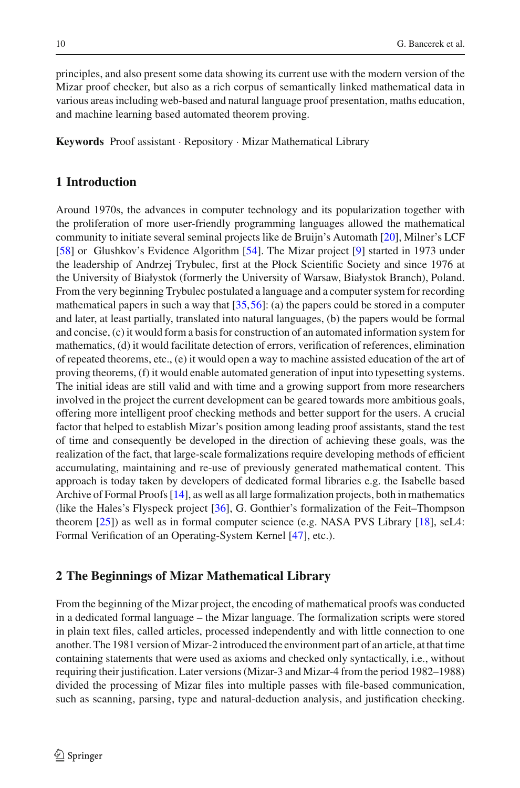principles, and also present some data showing its current use with the modern version of the Mizar proof checker, but also as a rich corpus of semantically linked mathematical data in various areas including web-based and natural language proof presentation, maths education, and machine learning based automated theorem proving.

**Keywords** Proof assistant · Repository · Mizar Mathematical Library

## **1 Introduction**

Around 1970s, the advances in computer technology and its popularization together with the proliferation of more user-friendly programming languages allowed the mathematical community to initiate several seminal projects like de Bruijn's Automath [\[20](#page-20-0)], Milner's LCF [\[58\]](#page-22-0) or Glushkov's Evidence Algorithm [\[54\]](#page-21-0). The Mizar project [\[9\]](#page-19-0) started in 1973 under the leadership of Andrzej Trybulec, first at the Płock Scientific Society and since 1976 at the University of Białystok (formerly the University of Warsaw, Białystok Branch), Poland. From the very beginning Trybulec postulated a language and a computer system for recording mathematical papers in such a way that [\[35](#page-20-1)[,56](#page-21-1)]: (a) the papers could be stored in a computer and later, at least partially, translated into natural languages, (b) the papers would be formal and concise, (c) it would form a basis for construction of an automated information system for mathematics, (d) it would facilitate detection of errors, verification of references, elimination of repeated theorems, etc., (e) it would open a way to machine assisted education of the art of proving theorems, (f) it would enable automated generation of input into typesetting systems. The initial ideas are still valid and with time and a growing support from more researchers involved in the project the current development can be geared towards more ambitious goals, offering more intelligent proof checking methods and better support for the users. A crucial factor that helped to establish Mizar's position among leading proof assistants, stand the test of time and consequently be developed in the direction of achieving these goals, was the realization of the fact, that large-scale formalizations require developing methods of efficient accumulating, maintaining and re-use of previously generated mathematical content. This approach is today taken by developers of dedicated formal libraries e.g. the Isabelle based Archive of Formal Proofs [\[14](#page-19-1)], as well as all large formalization projects, both in mathematics (like the Hales's Flyspeck project [\[36](#page-21-2)], G. Gonthier's formalization of the Feit–Thompson theorem [\[25\]](#page-20-2)) as well as in formal computer science (e.g. NASA PVS Library [\[18\]](#page-20-3), seL4: Formal Verification of an Operating-System Kernel [\[47\]](#page-21-3), etc.).

### <span id="page-1-0"></span>**2 The Beginnings of Mizar Mathematical Library**

From the beginning of the Mizar project, the encoding of mathematical proofs was conducted in a dedicated formal language – the Mizar language. The formalization scripts were stored in plain text files, called articles, processed independently and with little connection to one another. The 1981 version of Mizar-2 introduced the environment part of an article, at that time containing statements that were used as axioms and checked only syntactically, i.e., without requiring their justification. Later versions (Mizar-3 and Mizar-4 from the period 1982–1988) divided the processing of Mizar files into multiple passes with file-based communication, such as scanning, parsing, type and natural-deduction analysis, and justification checking.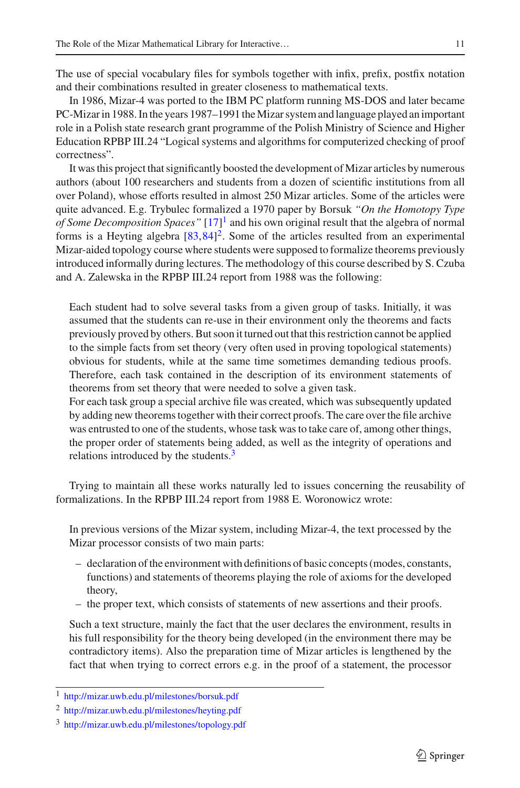The use of special vocabulary files for symbols together with infix, prefix, postfix notation and their combinations resulted in greater closeness to mathematical texts.

In 1986, Mizar-4 was ported to the IBM PC platform running MS-DOS and later became PC-Mizar in 1988. In the years 1987–1991 theMizar system and language played an important role in a Polish state research grant programme of the Polish Ministry of Science and Higher Education RPBP III.24 "Logical systems and algorithms for computerized checking of proof correctness".

It was this project that significantly boosted the development of Mizar articles by numerous authors (about 100 researchers and students from a dozen of scientific institutions from all over Poland), whose efforts resulted in almost 250 Mizar articles. Some of the articles were quite advanced. E.g. Trybulec formalized a 1970 paper by Borsuk *"On the Homotopy Type of Some Decomposition Spaces"* [\[17](#page-20-4)] [1](#page-2-0) and his own original result that the algebra of normal forms is a Heyting algebra  $[83, 84]^2$  $[83, 84]^2$ . Some of the articles resulted from an experimental Mizar-aided topology course where students were supposed to formalize theorems previously introduced informally during lectures. The methodology of this course described by S. Czuba and A. Zalewska in the RPBP III.24 report from 1988 was the following:

Each student had to solve several tasks from a given group of tasks. Initially, it was assumed that the students can re-use in their environment only the theorems and facts previously proved by others. But soon it turned out that this restriction cannot be applied to the simple facts from set theory (very often used in proving topological statements) obvious for students, while at the same time sometimes demanding tedious proofs. Therefore, each task contained in the description of its environment statements of theorems from set theory that were needed to solve a given task.

For each task group a special archive file was created, which was subsequently updated by adding new theorems together with their correct proofs. The care over the file archive was entrusted to one of the students, whose task was to take care of, among other things, the proper order of statements being added, as well as the integrity of operations and relations introduced by the students.<sup>3</sup>

Trying to maintain all these works naturally led to issues concerning the reusability of formalizations. In the RPBP III.24 report from 1988 E. Woronowicz wrote:

In previous versions of the Mizar system, including Mizar-4, the text processed by the Mizar processor consists of two main parts:

- declaration of the environment with definitions of basic concepts (modes, constants, functions) and statements of theorems playing the role of axioms for the developed theory,
- the proper text, which consists of statements of new assertions and their proofs.

Such a text structure, mainly the fact that the user declares the environment, results in his full responsibility for the theory being developed (in the environment there may be contradictory items). Also the preparation time of Mizar articles is lengthened by the fact that when trying to correct errors e.g. in the proof of a statement, the processor

<sup>1</sup> <http://mizar.uwb.edu.pl/milestones/borsuk.pdf>

<span id="page-2-0"></span><sup>2</sup> <http://mizar.uwb.edu.pl/milestones/heyting.pdf>

<span id="page-2-2"></span><span id="page-2-1"></span><sup>3</sup> <http://mizar.uwb.edu.pl/milestones/topology.pdf>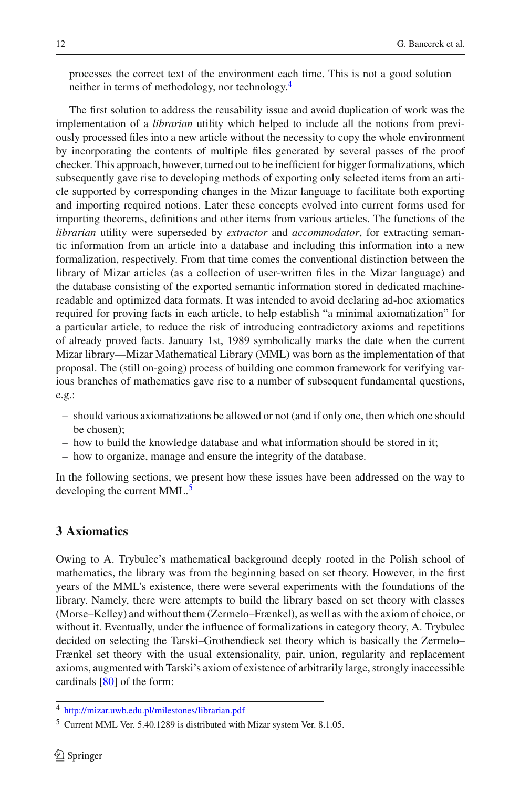processes the correct text of the environment each time. This is not a good solution neither in terms of methodology, nor technology.<sup>[4](#page-3-0)</sup>

The first solution to address the reusability issue and avoid duplication of work was the implementation of a *librarian* utility which helped to include all the notions from previously processed files into a new article without the necessity to copy the whole environment by incorporating the contents of multiple files generated by several passes of the proof checker. This approach, however, turned out to be inefficient for bigger formalizations, which subsequently gave rise to developing methods of exporting only selected items from an article supported by corresponding changes in the Mizar language to facilitate both exporting and importing required notions. Later these concepts evolved into current forms used for importing theorems, definitions and other items from various articles. The functions of the *librarian* utility were superseded by *extractor* and *accommodator*, for extracting semantic information from an article into a database and including this information into a new formalization, respectively. From that time comes the conventional distinction between the library of Mizar articles (as a collection of user-written files in the Mizar language) and the database consisting of the exported semantic information stored in dedicated machinereadable and optimized data formats. It was intended to avoid declaring ad-hoc axiomatics required for proving facts in each article, to help establish "a minimal axiomatization" for a particular article, to reduce the risk of introducing contradictory axioms and repetitions of already proved facts. January 1st, 1989 symbolically marks the date when the current Mizar library—Mizar Mathematical Library (MML) was born as the implementation of that proposal. The (still on-going) process of building one common framework for verifying various branches of mathematics gave rise to a number of subsequent fundamental questions, e.g.:

- should various axiomatizations be allowed or not (and if only one, then which one should be chosen);
- how to build the knowledge database and what information should be stored in it;
- how to organize, manage and ensure the integrity of the database.

In the following sections, we present how these issues have been addressed on the way to developing the current MML.<sup>5</sup>

### **3 Axiomatics**

Owing to A. Trybulec's mathematical background deeply rooted in the Polish school of mathematics, the library was from the beginning based on set theory. However, in the first years of the MML's existence, there were several experiments with the foundations of the library. Namely, there were attempts to build the library based on set theory with classes (Morse–Kelley) and without them (Zermelo–Frænkel), as well as with the axiom of choice, or without it. Eventually, under the influence of formalizations in category theory, A. Trybulec decided on selecting the Tarski–Grothendieck set theory which is basically the Zermelo– Frænkel set theory with the usual extensionality, pair, union, regularity and replacement axioms, augmented with Tarski's axiom of existence of arbitrarily large, strongly inaccessible cardinals [\[80](#page-22-1)] of the form:

<sup>4</sup> <http://mizar.uwb.edu.pl/milestones/librarian.pdf>

<span id="page-3-1"></span><span id="page-3-0"></span><sup>5</sup> Current MML Ver. 5.40.1289 is distributed with Mizar system Ver. 8.1.05.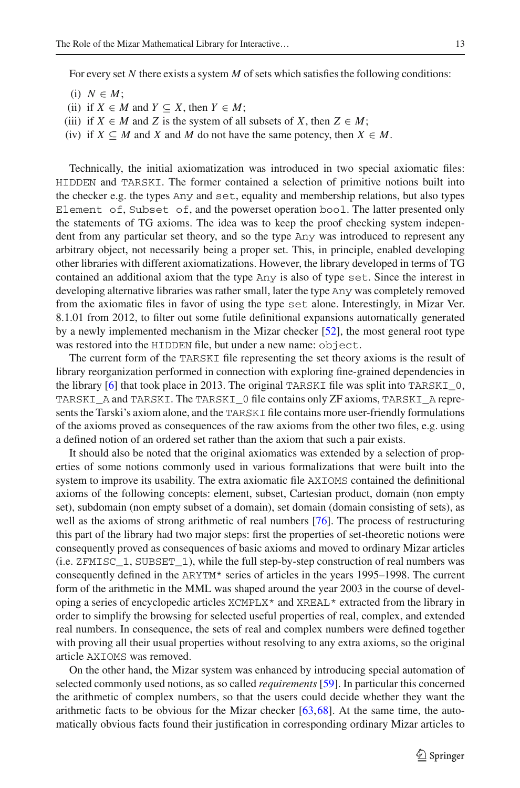For every set N there exists a system M of sets which satisfies the following conditions:

- $(i)$   $N \in M$ ;
- (ii) if  $X \in M$  and  $Y \subseteq X$ , then  $Y \in M$ ;
- (iii) if  $X \in M$  and *Z* is the system of all subsets of *X*, then  $Z \in M$ ;
- (iv) if  $X \subseteq M$  and *X* and *M* do not have the same potency, then  $X \in M$ .

Technically, the initial axiomatization was introduced in two special axiomatic files: HIDDEN and TARSKI. The former contained a selection of primitive notions built into the checker e.g. the types Any and set, equality and membership relations, but also types Element of, Subset of, and the powerset operation bool. The latter presented only the statements of TG axioms. The idea was to keep the proof checking system independent from any particular set theory, and so the type Any was introduced to represent any arbitrary object, not necessarily being a proper set. This, in principle, enabled developing other libraries with different axiomatizations. However, the library developed in terms of TG contained an additional axiom that the type Any is also of type set. Since the interest in developing alternative libraries was rather small, later the type Any was completely removed from the axiomatic files in favor of using the type set alone. Interestingly, in Mizar Ver. 8.1.01 from 2012, to filter out some futile definitional expansions automatically generated by a newly implemented mechanism in the Mizar checker [\[52](#page-21-4)], the most general root type was restored into the HIDDEN file, but under a new name: object.

The current form of the TARSKI file representing the set theory axioms is the result of library reorganization performed in connection with exploring fine-grained dependencies in the library  $[6]$  $[6]$  that took place in 2013. The original TARSKI file was split into TARSKI  $\_0$ , TARSKI\_A and TARSKI. The TARSKI\_0 file contains only ZF axioms, TARSKI\_A represents the Tarski's axiom alone, and the TARSKI file contains more user-friendly formulations of the axioms proved as consequences of the raw axioms from the other two files, e.g. using a defined notion of an ordered set rather than the axiom that such a pair exists.

It should also be noted that the original axiomatics was extended by a selection of properties of some notions commonly used in various formalizations that were built into the system to improve its usability. The extra axiomatic file AXIOMS contained the definitional axioms of the following concepts: element, subset, Cartesian product, domain (non empty set), subdomain (non empty subset of a domain), set domain (domain consisting of sets), as well as the axioms of strong arithmetic of real numbers [\[76\]](#page-22-2). The process of restructuring this part of the library had two major steps: first the properties of set-theoretic notions were consequently proved as consequences of basic axioms and moved to ordinary Mizar articles (i.e. ZFMISC\_1, SUBSET\_1), while the full step-by-step construction of real numbers was consequently defined in the ARYTM\* series of articles in the years 1995–1998. The current form of the arithmetic in the MML was shaped around the year 2003 in the course of developing a series of encyclopedic articles XCMPLX\* and XREAL\* extracted from the library in order to simplify the browsing for selected useful properties of real, complex, and extended real numbers. In consequence, the sets of real and complex numbers were defined together with proving all their usual properties without resolving to any extra axioms, so the original article AXIOMS was removed.

On the other hand, the Mizar system was enhanced by introducing special automation of selected commonly used notions, as so called *requirements* [\[59\]](#page-22-3). In particular this concerned the arithmetic of complex numbers, so that the users could decide whether they want the arithmetic facts to be obvious for the Mizar checker  $[63,68]$  $[63,68]$ . At the same time, the automatically obvious facts found their justification in corresponding ordinary Mizar articles to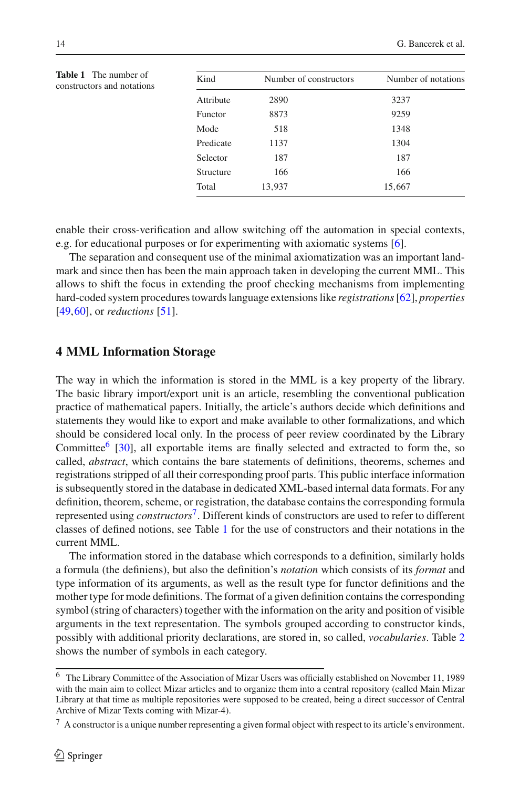<span id="page-5-2"></span>

| <b>Table 1</b> The number of<br>constructors and notations | Kind      | Number of constructors | Number of notations |
|------------------------------------------------------------|-----------|------------------------|---------------------|
|                                                            | Attribute | 2890                   | 3237                |
|                                                            | Functor   | 8873                   | 9259                |
|                                                            | Mode      | 518                    | 1348                |
|                                                            | Predicate | 1137                   | 1304                |
|                                                            | Selector  | 187                    | 187                 |
|                                                            | Structure | 166                    | 166                 |
|                                                            | Total     | 13,937                 | 15,667              |

enable their cross-verification and allow switching off the automation in special contexts, e.g. for educational purposes or for experimenting with axiomatic systems [\[6](#page-19-2)].

The separation and consequent use of the minimal axiomatization was an important landmark and since then has been the main approach taken in developing the current MML. This allows to shift the focus in extending the proof checking mechanisms from implementing hard-coded system procedures towards language extensions like *registrations*[\[62\]](#page-22-6), *properties* [\[49,](#page-21-5)[60](#page-22-7)], or *reductions* [\[51](#page-21-6)].

### **4 MML Information Storage**

The way in which the information is stored in the MML is a key property of the library. The basic library import/export unit is an article, resembling the conventional publication practice of mathematical papers. Initially, the article's authors decide which definitions and statements they would like to export and make available to other formalizations, and which should be considered local only. In the process of peer review coordinated by the Library Committee<sup>[6](#page-5-0)</sup> [\[30\]](#page-20-5), all exportable items are finally selected and extracted to form the, so called, *abstract*, which contains the bare statements of definitions, theorems, schemes and registrations stripped of all their corresponding proof parts. This public interface information is subsequently stored in the database in dedicated XML-based internal data formats. For any definition, theorem, scheme, or registration, the database contains the corresponding formula represented using *constructors*[7.](#page-5-1) Different kinds of constructors are used to refer to different classes of defined notions, see Table [1](#page-5-2) for the use of constructors and their notations in the current MML.

The information stored in the database which corresponds to a definition, similarly holds a formula (the definiens), but also the definition's *notation* which consists of its *format* and type information of its arguments, as well as the result type for functor definitions and the mother type for mode definitions. The format of a given definition contains the corresponding symbol (string of characters) together with the information on the arity and position of visible arguments in the text representation. The symbols grouped according to constructor kinds, possibly with additional priority declarations, are stored in, so called, *vocabularies*. Table [2](#page-6-0) shows the number of symbols in each category.

<span id="page-5-0"></span><sup>6</sup> The Library Committee of the Association of Mizar Users was officially established on November 11, 1989 with the main aim to collect Mizar articles and to organize them into a central repository (called Main Mizar Library at that time as multiple repositories were supposed to be created, being a direct successor of Central Archive of Mizar Texts coming with Mizar-4).

<span id="page-5-1"></span><sup>7</sup> A constructor is a unique number representing a given formal object with respect to its article's environment.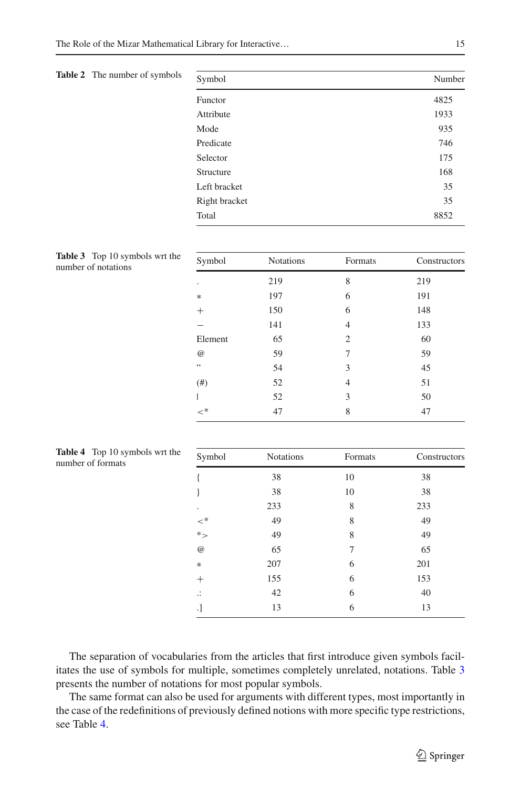### <span id="page-6-0"></span>Table 2 The number of symbols

| Symbol        | Number |
|---------------|--------|
| Functor       | 4825   |
| Attribute     | 1933   |
| Mode          | 935    |
| Predicate     | 746    |
| Selector      | 175    |
| Structure     | 168    |
| Left bracket  | 35     |
| Right bracket | 35     |
| Total         | 8852   |
|               |        |

<span id="page-6-1"></span>

| <b>Table 5</b> Top TO symbols with the<br>number of notations | Symbol     | <b>Notations</b> | Formats | Constructors |
|---------------------------------------------------------------|------------|------------------|---------|--------------|
|                                                               |            | 219              | 8       | 219          |
|                                                               | *          | 197              | 6       | 191          |
|                                                               | ┿          | 150              | 6       | 148          |
|                                                               |            | 141              | 4       | 133          |
|                                                               | Element    | 65               | 2       | 60           |
|                                                               | $^{\circ}$ | 59               |         | 59           |
|                                                               | ,,         | 54               | 3       | 45           |
|                                                               | (# )       | 52               | 4       | 51           |
|                                                               |            | 52               | 3       | 50           |
|                                                               | $<^*$      | 47               | 8       | 47           |

# **Table 3** Top 10

<span id="page-6-2"></span>

| <b>Table 4</b> Top 10 symbols wrt the<br>number of formats | Symbol          | <b>Notations</b> | Formats | Constructors |
|------------------------------------------------------------|-----------------|------------------|---------|--------------|
|                                                            |                 | 38               | 10      | 38           |
|                                                            |                 | 38               | 10      | 38           |
|                                                            |                 | 233              | 8       | 233          |
|                                                            | $<^*$           | 49               | 8       | 49           |
|                                                            | $*$             | 49               | 8       | 49           |
|                                                            | $^{\copyright}$ | 65               |         | 65           |
|                                                            | $*$             | 207              | 6       | 201          |
|                                                            | $^+$            | 155              | 6       | 153          |
|                                                            | $\ddot{\cdot}$  | 42               | 6       | 40           |
|                                                            | J.              | 13               | 6       | 13           |

The separation of vocabularies from the articles that first introduce given symbols facilitates the use of symbols for multiple, sometimes completely unrelated, notations. Table [3](#page-6-1) presents the number of notations for most popular symbols.

The same format can also be used for arguments with different types, most importantly in the case of the redefinitions of previously defined notions with more specific type restrictions, see Table [4.](#page-6-2)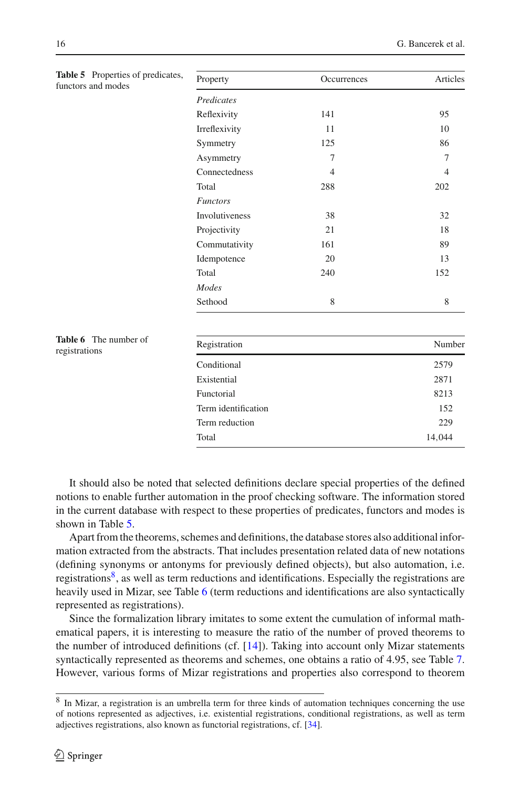<span id="page-7-0"></span>

| Table 5 Properties of predicates,<br>functors and modes | Property            | Occurrences    | Articles       |
|---------------------------------------------------------|---------------------|----------------|----------------|
|                                                         | Predicates          |                |                |
|                                                         | Reflexivity         | 141            | 95             |
|                                                         | Irreflexivity       | 11             | 10             |
|                                                         | Symmetry            | 125            | 86             |
|                                                         | Asymmetry           | 7              | 7              |
|                                                         | Connectedness       | $\overline{4}$ | $\overline{4}$ |
|                                                         | Total               | 288            | 202            |
|                                                         | <b>Functors</b>     |                |                |
|                                                         | Involutiveness      | 38             | 32             |
|                                                         | Projectivity        | 21             | 18             |
|                                                         | Commutativity       | 161            | 89             |
|                                                         | Idempotence         | 20             | 13             |
|                                                         | Total               | 240            | 152            |
|                                                         | Modes               |                |                |
|                                                         | Sethood             | 8              | 8              |
| Table 6 The number of                                   |                     |                | Number         |
| registrations                                           | Registration        |                |                |
|                                                         | Conditional         |                | 2579           |
|                                                         | Existential         |                | 2871           |
|                                                         | Functorial          |                | 8213           |
|                                                         | Term identification |                | 152            |
|                                                         | Term reduction      |                | 229            |
|                                                         | Total               |                | 14,044         |

<span id="page-7-2"></span>It should also be noted that selected definitions declare special properties of the defined notions to enable further automation in the proof checking software. The information stored in the current database with respect to these properties of predicates, functors and modes is shown in Table [5.](#page-7-0)

Apart from the theorems, schemes and definitions, the database stores also additional information extracted from the abstracts. That includes presentation related data of new notations (defining synonyms or antonyms for previously defined objects), but also automation, i.e. registrations<sup>8</sup>, as well as term reductions and identifications. Especially the registrations are heavily used in Mizar, see Table [6](#page-7-2) (term reductions and identifications are also syntactically represented as registrations).

Since the formalization library imitates to some extent the cumulation of informal mathematical papers, it is interesting to measure the ratio of the number of proved theorems to the number of introduced definitions (cf.  $[14]$  $[14]$ ). Taking into account only Mizar statements syntactically represented as theorems and schemes, one obtains a ratio of 4.95, see Table [7.](#page-8-0) However, various forms of Mizar registrations and properties also correspond to theorem

<span id="page-7-1"></span><sup>8</sup> In Mizar, a registration is an umbrella term for three kinds of automation techniques concerning the use of notions represented as adjectives, i.e. existential registrations, conditional registrations, as well as term adjectives registrations, also known as functorial registrations, cf. [\[34](#page-20-6)].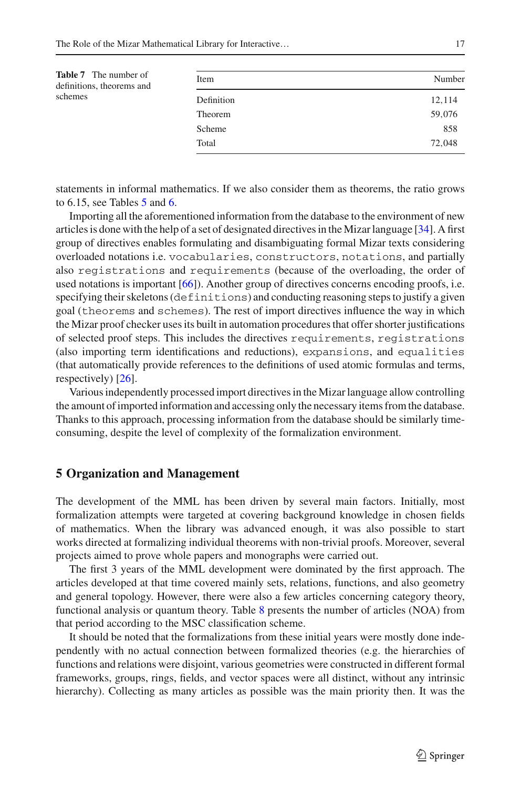<span id="page-8-0"></span>

| <b>Table 7</b> The number of<br>definitions, theorems and | Item       | Number |
|-----------------------------------------------------------|------------|--------|
| schemes                                                   | Definition | 12,114 |
|                                                           | Theorem    | 59,076 |
|                                                           | Scheme     | 858    |
|                                                           | Total      | 72,048 |

statements in informal mathematics. If we also consider them as theorems, the ratio grows to  $6.15$  $6.15$ , see Tables  $5$  and  $6$ .

Importing all the aforementioned information from the database to the environment of new articles is done with the help of a set of designated directives in the Mizar language [\[34](#page-20-6)]. A first group of directives enables formulating and disambiguating formal Mizar texts considering overloaded notations i.e. vocabularies, constructors, notations, and partially also registrations and requirements (because of the overloading, the order of used notations is important [\[66](#page-22-8)]). Another group of directives concerns encoding proofs, i.e. specifying their skeletons (definitions) and conducting reasoning steps to justify a given goal (theorems and schemes). The rest of import directives influence the way in which the Mizar proof checker uses its built in automation procedures that offer shorter justifications of selected proof steps. This includes the directives requirements, registrations (also importing term identifications and reductions), expansions, and equalities (that automatically provide references to the definitions of used atomic formulas and terms, respectively) [\[26\]](#page-20-7).

Various independently processed import directives in the Mizar language allow controlling the amount of imported information and accessing only the necessary items from the database. Thanks to this approach, processing information from the database should be similarly timeconsuming, despite the level of complexity of the formalization environment.

### **5 Organization and Management**

The development of the MML has been driven by several main factors. Initially, most formalization attempts were targeted at covering background knowledge in chosen fields of mathematics. When the library was advanced enough, it was also possible to start works directed at formalizing individual theorems with non-trivial proofs. Moreover, several projects aimed to prove whole papers and monographs were carried out.

The first 3 years of the MML development were dominated by the first approach. The articles developed at that time covered mainly sets, relations, functions, and also geometry and general topology. However, there were also a few articles concerning category theory, functional analysis or quantum theory. Table [8](#page-9-0) presents the number of articles (NOA) from that period according to the MSC classification scheme.

It should be noted that the formalizations from these initial years were mostly done independently with no actual connection between formalized theories (e.g. the hierarchies of functions and relations were disjoint, various geometries were constructed in different formal frameworks, groups, rings, fields, and vector spaces were all distinct, without any intrinsic hierarchy). Collecting as many articles as possible was the main priority then. It was the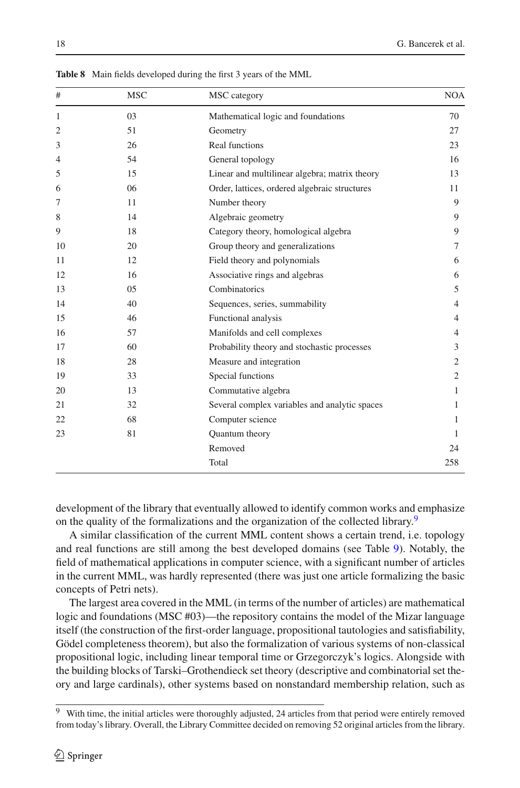| #              | <b>MSC</b> | MSC category                                  | <b>NOA</b>     |
|----------------|------------|-----------------------------------------------|----------------|
| 1              | 03         | Mathematical logic and foundations            | 70             |
| $\overline{2}$ | 51         | Geometry                                      | 27             |
| 3              | 26         | Real functions                                | 23             |
| $\overline{4}$ | 54         | General topology                              | 16             |
| 5              | 15         | Linear and multilinear algebra; matrix theory | 13             |
| 6              | 06         | Order, lattices, ordered algebraic structures | 11             |
| 7              | 11         | Number theory                                 | 9              |
| 8              | 14         | Algebraic geometry                            | 9              |
| 9              | 18         | Category theory, homological algebra          | 9              |
| 10             | 20         | Group theory and generalizations              | 7              |
| 11             | 12         | Field theory and polynomials                  | 6              |
| 12             | 16         | Associative rings and algebras                | 6              |
| 13             | 05         | Combinatorics                                 | 5              |
| 14             | 40         | Sequences, series, summability                | $\overline{4}$ |
| 15             | 46         | Functional analysis                           | $\overline{4}$ |
| 16             | 57         | Manifolds and cell complexes                  | $\overline{4}$ |
| 17             | 60         | Probability theory and stochastic processes   | 3              |
| 18             | 28         | Measure and integration                       | $\overline{2}$ |
| 19             | 33         | Special functions                             | $\overline{2}$ |
| 20             | 13         | Commutative algebra                           | $\mathbf{1}$   |
| 21             | 32         | Several complex variables and analytic spaces | $\mathbf{1}$   |
| 22             | 68         | Computer science                              | $\mathbf{1}$   |
| 23             | 81         | Quantum theory                                | 1              |
|                |            | Removed                                       | 24             |
|                |            | Total                                         | 258            |

<span id="page-9-0"></span>**Table 8** Main fields developed during the first 3 years of the MML

development of the library that eventually allowed to identify common works and emphasize on the quality of the formalizations and the organization of the collected library.<sup>9</sup>

A similar classification of the current MML content shows a certain trend, i.e. topology and real functions are still among the best developed domains (see Table [9\)](#page-10-0). Notably, the field of mathematical applications in computer science, with a significant number of articles in the current MML, was hardly represented (there was just one article formalizing the basic concepts of Petri nets).

The largest area covered in the MML (in terms of the number of articles) are mathematical logic and foundations (MSC #03)—the repository contains the model of the Mizar language itself (the construction of the first-order language, propositional tautologies and satisfiability, Gödel completeness theorem), but also the formalization of various systems of non-classical propositional logic, including linear temporal time or Grzegorczyk's logics. Alongside with the building blocks of Tarski–Grothendieck set theory (descriptive and combinatorial set theory and large cardinals), other systems based on nonstandard membership relation, such as

<span id="page-9-1"></span>With time, the initial articles were thoroughly adjusted, 24 articles from that period were entirely removed from today's library. Overall, the Library Committee decided on removing 52 original articles from the library.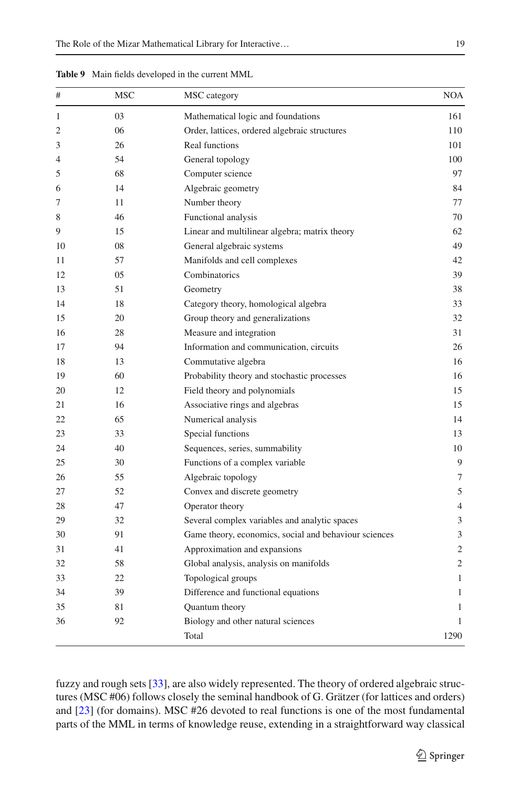| $\#$ | MSC | MSC category                                          | <b>NOA</b>     |
|------|-----|-------------------------------------------------------|----------------|
| 1    | 03  | Mathematical logic and foundations                    | 161            |
| 2    | 06  | Order, lattices, ordered algebraic structures         | 110            |
| 3    | 26  | Real functions                                        | 101            |
| 4    | 54  | General topology                                      | 100            |
| 5    | 68  | Computer science                                      | 97             |
| 6    | 14  | Algebraic geometry                                    | 84             |
| 7    | 11  | Number theory                                         | 77             |
| 8    | 46  | Functional analysis                                   | 70             |
| 9    | 15  | Linear and multilinear algebra; matrix theory         | 62             |
| 10   | 08  | General algebraic systems                             | 49             |
| 11   | 57  | Manifolds and cell complexes                          | 42             |
| 12   | 05  | Combinatorics                                         | 39             |
| 13   | 51  | Geometry                                              | 38             |
| 14   | 18  | Category theory, homological algebra                  | 33             |
| 15   | 20  | Group theory and generalizations                      | 32             |
| 16   | 28  | Measure and integration                               | 31             |
| 17   | 94  | Information and communication, circuits               | 26             |
| 18   | 13  | Commutative algebra                                   | 16             |
| 19   | 60  | Probability theory and stochastic processes           | 16             |
| 20   | 12  | Field theory and polynomials                          | 15             |
| 21   | 16  | Associative rings and algebras                        | 15             |
| 22   | 65  | Numerical analysis                                    | 14             |
| 23   | 33  | Special functions                                     | 13             |
| 24   | 40  | Sequences, series, summability                        | 10             |
| 25   | 30  | Functions of a complex variable                       | 9              |
| 26   | 55  | Algebraic topology                                    | $\tau$         |
| 27   | 52  | Convex and discrete geometry                          | 5              |
| 28   | 47  | Operator theory                                       | $\overline{4}$ |
| 29   | 32  | Several complex variables and analytic spaces         | 3              |
| 30   | 91  | Game theory, economics, social and behaviour sciences | 3              |
| 31   | 41  | Approximation and expansions                          | $\overline{c}$ |
| 32   | 58  | Global analysis, analysis on manifolds                | $\overline{c}$ |
| 33   | 22  | Topological groups                                    | $\mathbf{1}$   |
| 34   | 39  | Difference and functional equations                   | $\mathbf{1}$   |
| 35   | 81  | Quantum theory                                        | $\mathbf{1}$   |
| 36   | 92  | Biology and other natural sciences                    | 1              |
|      |     | Total                                                 | 1290           |

<span id="page-10-0"></span>**Table 9** Main fields developed in the current MML

fuzzy and rough sets [\[33](#page-20-8)], are also widely represented. The theory of ordered algebraic structures (MSC #06) follows closely the seminal handbook of G. Grätzer (for lattices and orders) and [\[23](#page-20-9)] (for domains). MSC #26 devoted to real functions is one of the most fundamental parts of the MML in terms of knowledge reuse, extending in a straightforward way classical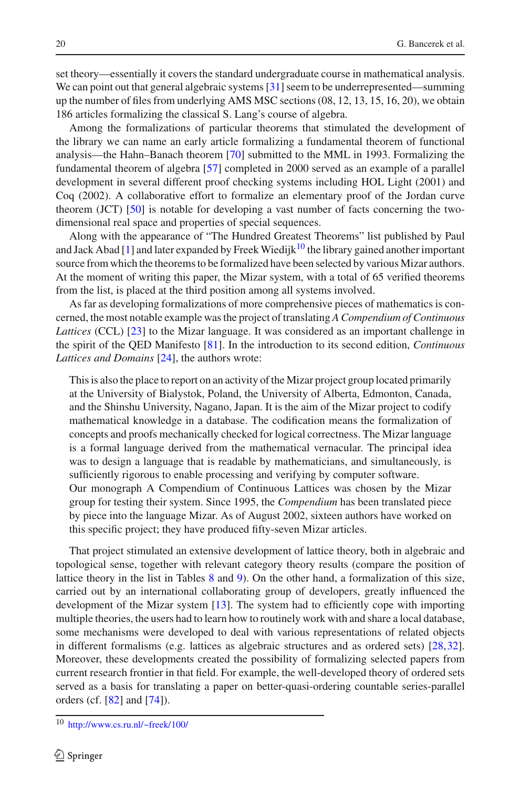set theory—essentially it covers the standard undergraduate course in mathematical analysis. We can point out that general algebraic systems [\[31](#page-20-10)] seem to be underrepresented—summing up the number of files from underlying AMS MSC sections (08, 12, 13, 15, 16, 20), we obtain 186 articles formalizing the classical S. Lang's course of algebra.

Among the formalizations of particular theorems that stimulated the development of the library we can name an early article formalizing a fundamental theorem of functional analysis—the Hahn–Banach theorem [\[70\]](#page-22-9) submitted to the MML in 1993. Formalizing the fundamental theorem of algebra [\[57](#page-21-7)] completed in 2000 served as an example of a parallel development in several different proof checking systems including HOL Light (2001) and Coq (2002). A collaborative effort to formalize an elementary proof of the Jordan curve theorem (JCT) [\[50](#page-21-8)] is notable for developing a vast number of facts concerning the twodimensional real space and properties of special sequences.

Along with the appearance of "The Hundred Greatest Theorems" list published by Paul and Jack Abad [\[1\]](#page-19-3) and later expanded by Freek Wiedijk $10$  the library gained another important source from which the theorems to be formalized have been selected by various Mizar authors. At the moment of writing this paper, the Mizar system, with a total of 65 verified theorems from the list, is placed at the third position among all systems involved.

As far as developing formalizations of more comprehensive pieces of mathematics is concerned, the most notable example was the project of translating *A Compendium of Continuous Lattices* (CCL) [\[23](#page-20-9)] to the Mizar language. It was considered as an important challenge in the spirit of the QED Manifesto [\[81\]](#page-22-10). In the introduction to its second edition, *Continuous Lattices and Domains* [\[24](#page-20-11)], the authors wrote:

This is also the place to report on an activity of the Mizar project group located primarily at the University of Bialystok, Poland, the University of Alberta, Edmonton, Canada, and the Shinshu University, Nagano, Japan. It is the aim of the Mizar project to codify mathematical knowledge in a database. The codification means the formalization of concepts and proofs mechanically checked for logical correctness. The Mizar language is a formal language derived from the mathematical vernacular. The principal idea was to design a language that is readable by mathematicians, and simultaneously, is sufficiently rigorous to enable processing and verifying by computer software. Our monograph A Compendium of Continuous Lattices was chosen by the Mizar group for testing their system. Since 1995, the *Compendium* has been translated piece by piece into the language Mizar. As of August 2002, sixteen authors have worked on this specific project; they have produced fifty-seven Mizar articles.

That project stimulated an extensive development of lattice theory, both in algebraic and topological sense, together with relevant category theory results (compare the position of lattice theory in the list in Tables [8](#page-9-0) and [9\)](#page-10-0). On the other hand, a formalization of this size, carried out by an international collaborating group of developers, greatly influenced the development of the Mizar system [\[13\]](#page-19-4). The system had to efficiently cope with importing multiple theories, the users had to learn how to routinely work with and share a local database, some mechanisms were developed to deal with various representations of related objects in different formalisms (e.g. lattices as algebraic structures and as ordered sets) [\[28](#page-20-12)[,32\]](#page-20-13). Moreover, these developments created the possibility of formalizing selected papers from current research frontier in that field. For example, the well-developed theory of ordered sets served as a basis for translating a paper on better-quasi-ordering countable series-parallel orders (cf. [\[82](#page-22-11)] and [\[74](#page-22-12)]).

<span id="page-11-0"></span><sup>10</sup> <http://www.cs.ru.nl/~freek/100/>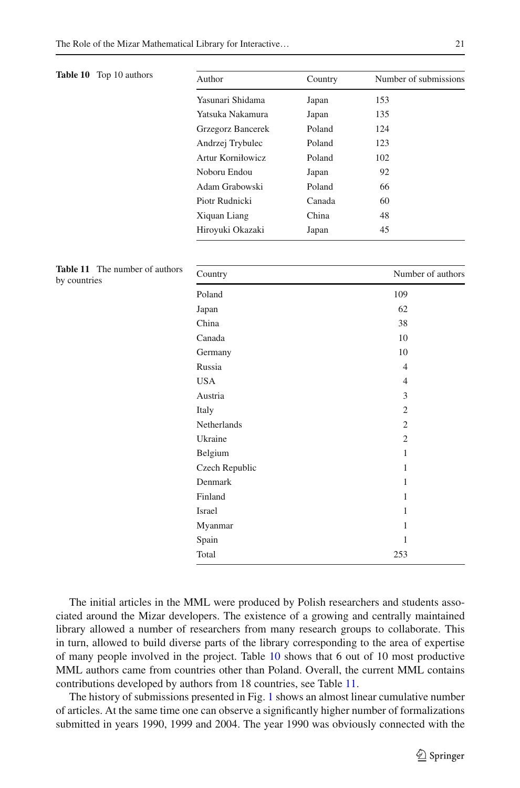#### <span id="page-12-0"></span>**Table 10** Top 10 authors

| Author            | Country | Number of submissions |
|-------------------|---------|-----------------------|
| Yasunari Shidama  | Japan   | 153                   |
| Yatsuka Nakamura  | Japan   | 135                   |
| Grzegorz Bancerek | Poland  | 124                   |
| Andrzej Trybulec  | Poland  | 123                   |
| Artur Korniłowicz | Poland  | 102                   |
| Noboru Endou      | Japan   | 92                    |
| Adam Grabowski    | Poland  | 66                    |
| Piotr Rudnicki    | Canada  | 60                    |
| Xiquan Liang      | China   | 48                    |
| Hiroyuki Okazaki  | Japan   | 45                    |
|                   |         |                       |

**Table 11** The number of authors

<span id="page-12-1"></span>

| Table 11 The number of authors<br>by countries | Country        | Number of authors |
|------------------------------------------------|----------------|-------------------|
|                                                | Poland         | 109               |
|                                                | Japan          | 62                |
|                                                | China          | 38                |
|                                                | Canada         | 10                |
|                                                | Germany        | 10                |
|                                                | Russia         | $\overline{4}$    |
|                                                | <b>USA</b>     | $\overline{4}$    |
|                                                | Austria        | 3                 |
|                                                | Italy          | $\overline{c}$    |
|                                                | Netherlands    | $\overline{c}$    |
|                                                | Ukraine        | $\overline{c}$    |
|                                                | Belgium        | 1                 |
|                                                | Czech Republic | 1                 |
|                                                | Denmark        | 1                 |
|                                                | Finland        | 1                 |
|                                                | Israel         | 1                 |
|                                                | Myanmar        | 1                 |
|                                                | Spain          | 1                 |
|                                                | Total          | 253               |
|                                                |                |                   |

The initial articles in the MML were produced by Polish researchers and students associated around the Mizar developers. The existence of a growing and centrally maintained library allowed a number of researchers from many research groups to collaborate. This in turn, allowed to build diverse parts of the library corresponding to the area of expertise of many people involved in the project. Table [10](#page-12-0) shows that 6 out of 10 most productive MML authors came from countries other than Poland. Overall, the current MML contains contributions developed by authors from 18 countries, see Table [11.](#page-12-1)

The history of submissions presented in Fig. [1](#page-13-0) shows an almost linear cumulative number of articles. At the same time one can observe a significantly higher number of formalizations submitted in years 1990, 1999 and 2004. The year 1990 was obviously connected with the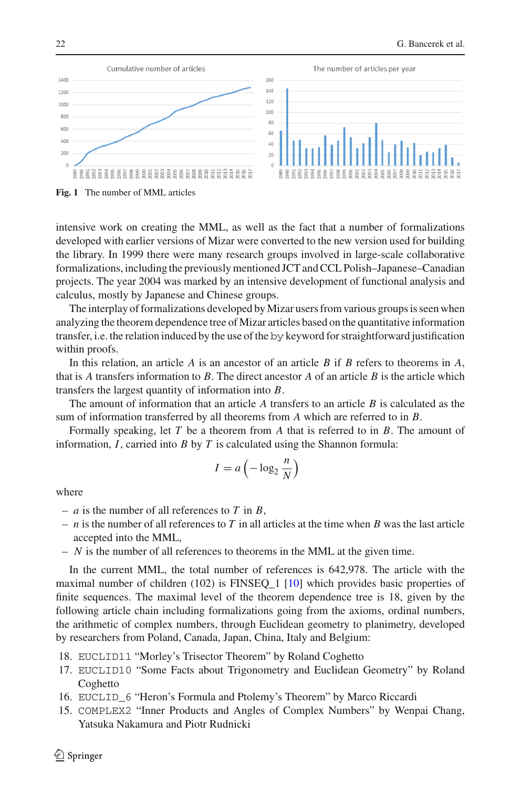

<span id="page-13-0"></span>**Fig. 1** The number of MML articles

intensive work on creating the MML, as well as the fact that a number of formalizations developed with earlier versions of Mizar were converted to the new version used for building the library. In 1999 there were many research groups involved in large-scale collaborative formalizations, including the previously mentioned JCT and CCL Polish–Japanese–Canadian projects. The year 2004 was marked by an intensive development of functional analysis and calculus, mostly by Japanese and Chinese groups.

The interplay of formalizations developed byMizar users from various groups is seen when analyzing the theorem dependence tree of Mizar articles based on the quantitative information transfer, i.e. the relation induced by the use of the by keyword for straightforward justification within proofs.

In this relation, an article *A* is an ancestor of an article *B* if *B* refers to theorems in *A*, that is *A* transfers information to *B*. The direct ancestor *A* of an article *B* is the article which transfers the largest quantity of information into *B*.

The amount of information that an article *A* transfers to an article *B* is calculated as the sum of information transferred by all theorems from *A* which are referred to in *B*.

Formally speaking, let *T* be a theorem from *A* that is referred to in *B*. The amount of information, *I*, carried into *B* by *T* is calculated using the Shannon formula:

$$
I = a \left( -\log_2 \frac{n}{N} \right)
$$

where

- *a* is the number of all references to *T* in *B*,
- $-$  *n* is the number of all references to *T* in all articles at the time when *B* was the last article accepted into the MML,
- *N* is the number of all references to theorems in the MML at the given time.

In the current MML, the total number of references is 642,978. The article with the maximal number of children (102) is FINSEQ\_1 [\[10\]](#page-19-5) which provides basic properties of finite sequences. The maximal level of the theorem dependence tree is 18, given by the following article chain including formalizations going from the axioms, ordinal numbers, the arithmetic of complex numbers, through Euclidean geometry to planimetry, developed by researchers from Poland, Canada, Japan, China, Italy and Belgium:

- 18. EUCLID11 "Morley's Trisector Theorem" by Roland Coghetto
- 17. EUCLID10 "Some Facts about Trigonometry and Euclidean Geometry" by Roland Coghetto
- 16. EUCLID\_6 "Heron's Formula and Ptolemy's Theorem" by Marco Riccardi
- 15. COMPLEX2 "Inner Products and Angles of Complex Numbers" by Wenpai Chang, Yatsuka Nakamura and Piotr Rudnicki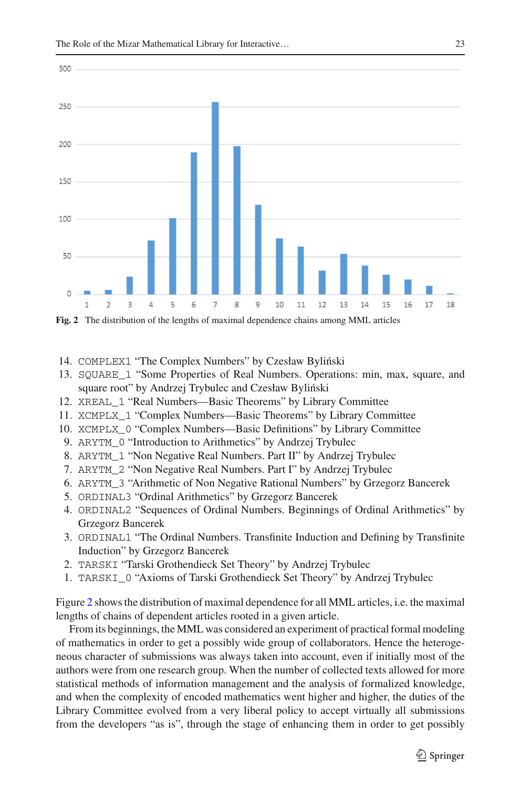

<span id="page-14-0"></span>**Fig. 2** The distribution of the lengths of maximal dependence chains among MML articles

- 14. COMPLEX1 "The Complex Numbers" by Czesław Byliński
- 13. SQUARE\_1 "Some Properties of Real Numbers. Operations: min, max, square, and square root" by Andrzej Trybulec and Czesław Byliński
- 12. XREAL\_1 "Real Numbers—Basic Theorems" by Library Committee
- 11. XCMPLX\_1 "Complex Numbers—Basic Theorems" by Library Committee
- 10. XCMPLX\_0 "Complex Numbers—Basic Definitions" by Library Committee
- 9. ARYTM\_0 "Introduction to Arithmetics" by Andrzej Trybulec
- 8. ARYTM\_1 "Non Negative Real Numbers. Part II" by Andrzej Trybulec
- 7. ARYTM\_2 "Non Negative Real Numbers. Part I" by Andrzej Trybulec
- 6. ARYTM\_3 "Arithmetic of Non Negative Rational Numbers" by Grzegorz Bancerek
- 5. ORDINAL3 "Ordinal Arithmetics" by Grzegorz Bancerek
- 4. ORDINAL2 "Sequences of Ordinal Numbers. Beginnings of Ordinal Arithmetics" by Grzegorz Bancerek
- 3. ORDINAL1 "The Ordinal Numbers. Transfinite Induction and Defining by Transfinite Induction" by Grzegorz Bancerek
- 2. TARSKI "Tarski Grothendieck Set Theory" by Andrzej Trybulec
- 1. TARSKI\_0 "Axioms of Tarski Grothendieck Set Theory" by Andrzej Trybulec

Figure [2](#page-14-0) shows the distribution of maximal dependence for all MML articles, i.e. the maximal lengths of chains of dependent articles rooted in a given article.

From its beginnings, the MML was considered an experiment of practical formal modeling of mathematics in order to get a possibly wide group of collaborators. Hence the heterogeneous character of submissions was always taken into account, even if initially most of the authors were from one research group. When the number of collected texts allowed for more statistical methods of information management and the analysis of formalized knowledge, and when the complexity of encoded mathematics went higher and higher, the duties of the Library Committee evolved from a very liberal policy to accept virtually all submissions from the developers "as is", through the stage of enhancing them in order to get possibly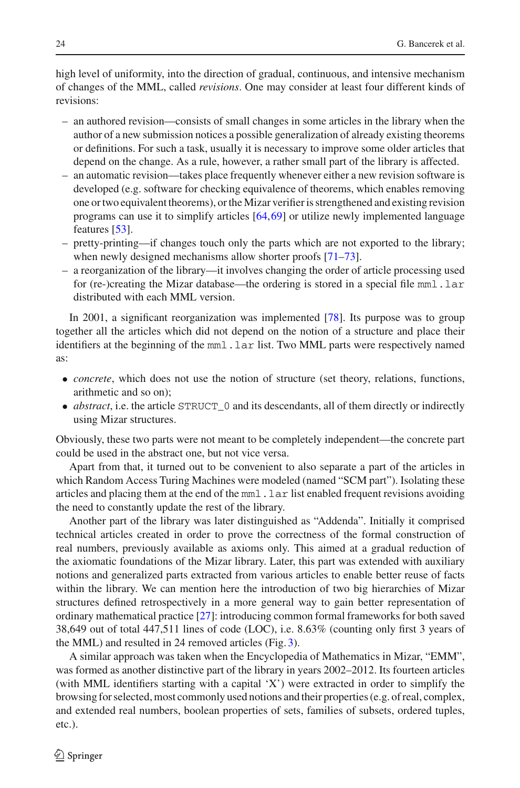high level of uniformity, into the direction of gradual, continuous, and intensive mechanism of changes of the MML, called *revisions*. One may consider at least four different kinds of revisions:

- an authored revision—consists of small changes in some articles in the library when the author of a new submission notices a possible generalization of already existing theorems or definitions. For such a task, usually it is necessary to improve some older articles that depend on the change. As a rule, however, a rather small part of the library is affected.
- an automatic revision—takes place frequently whenever either a new revision software is developed (e.g. software for checking equivalence of theorems, which enables removing one or two equivalent theorems), or the Mizar verifier is strengthened and existing revision programs can use it to simplify articles [\[64](#page-22-13)[,69\]](#page-22-14) or utilize newly implemented language features [\[53](#page-21-9)].
- pretty-printing—if changes touch only the parts which are not exported to the library; when newly designed mechanisms allow shorter proofs [\[71](#page-22-15)[–73\]](#page-22-16).
- a reorganization of the library—it involves changing the order of article processing used for (re-)creating the Mizar database—the ordering is stored in a special file  $mml$ . Lar distributed with each MML version.

In 2001, a significant reorganization was implemented [\[78\]](#page-22-17). Its purpose was to group together all the articles which did not depend on the notion of a structure and place their identifiers at the beginning of the mml.lar list. Two MML parts were respectively named as:

- *concrete*, which does not use the notion of structure (set theory, relations, functions, arithmetic and so on);
- *abstract*, i.e. the article STRUCT\_0 and its descendants, all of them directly or indirectly using Mizar structures.

Obviously, these two parts were not meant to be completely independent—the concrete part could be used in the abstract one, but not vice versa.

Apart from that, it turned out to be convenient to also separate a part of the articles in which Random Access Turing Machines were modeled (named "SCM part"). Isolating these articles and placing them at the end of the  $mm1$ . Lar list enabled frequent revisions avoiding the need to constantly update the rest of the library.

Another part of the library was later distinguished as "Addenda". Initially it comprised technical articles created in order to prove the correctness of the formal construction of real numbers, previously available as axioms only. This aimed at a gradual reduction of the axiomatic foundations of the Mizar library. Later, this part was extended with auxiliary notions and generalized parts extracted from various articles to enable better reuse of facts within the library. We can mention here the introduction of two big hierarchies of Mizar structures defined retrospectively in a more general way to gain better representation of ordinary mathematical practice [\[27](#page-20-14)]: introducing common formal frameworks for both saved 38,649 out of total 447,511 lines of code (LOC), i.e. 8.63% (counting only first 3 years of the MML) and resulted in 24 removed articles (Fig. [3\)](#page-16-0).

A similar approach was taken when the Encyclopedia of Mathematics in Mizar, "EMM", was formed as another distinctive part of the library in years 2002–2012. Its fourteen articles (with MML identifiers starting with a capital 'X') were extracted in order to simplify the browsing for selected, most commonly used notions and their properties (e.g. of real, complex, and extended real numbers, boolean properties of sets, families of subsets, ordered tuples, etc.).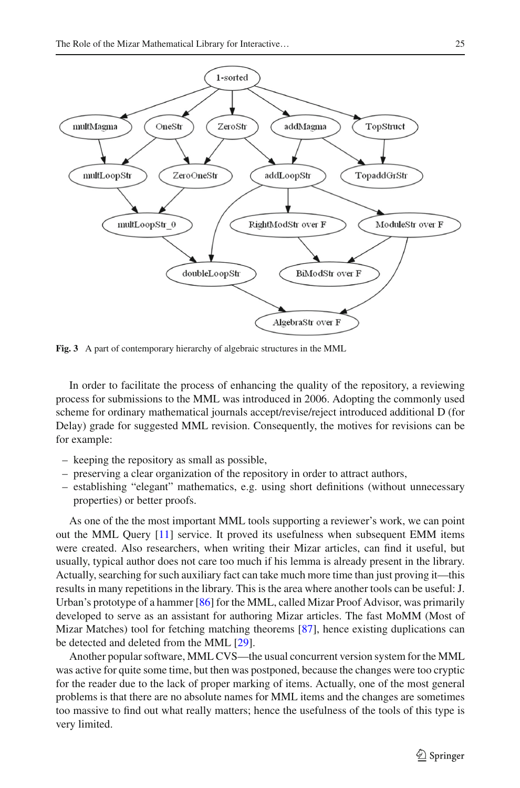

<span id="page-16-0"></span>**Fig. 3** A part of contemporary hierarchy of algebraic structures in the MML

In order to facilitate the process of enhancing the quality of the repository, a reviewing process for submissions to the MML was introduced in 2006. Adopting the commonly used scheme for ordinary mathematical journals accept/revise/reject introduced additional D (for Delay) grade for suggested MML revision. Consequently, the motives for revisions can be for example:

- keeping the repository as small as possible,
- preserving a clear organization of the repository in order to attract authors,
- establishing "elegant" mathematics, e.g. using short definitions (without unnecessary properties) or better proofs.

As one of the the most important MML tools supporting a reviewer's work, we can point out the MML Query [\[11\]](#page-19-6) service. It proved its usefulness when subsequent EMM items were created. Also researchers, when writing their Mizar articles, can find it useful, but usually, typical author does not care too much if his lemma is already present in the library. Actually, searching for such auxiliary fact can take much more time than just proving it—this results in many repetitions in the library. This is the area where another tools can be useful: J. Urban's prototype of a hammer [\[86\]](#page-23-2) for the MML, called Mizar Proof Advisor, was primarily developed to serve as an assistant for authoring Mizar articles. The fast MoMM (Most of Mizar Matches) tool for fetching matching theorems [\[87\]](#page-23-3), hence existing duplications can be detected and deleted from the MML [\[29](#page-20-15)].

Another popular software, MML CVS—the usual concurrent version system for the MML was active for quite some time, but then was postponed, because the changes were too cryptic for the reader due to the lack of proper marking of items. Actually, one of the most general problems is that there are no absolute names for MML items and the changes are sometimes too massive to find out what really matters; hence the usefulness of the tools of this type is very limited.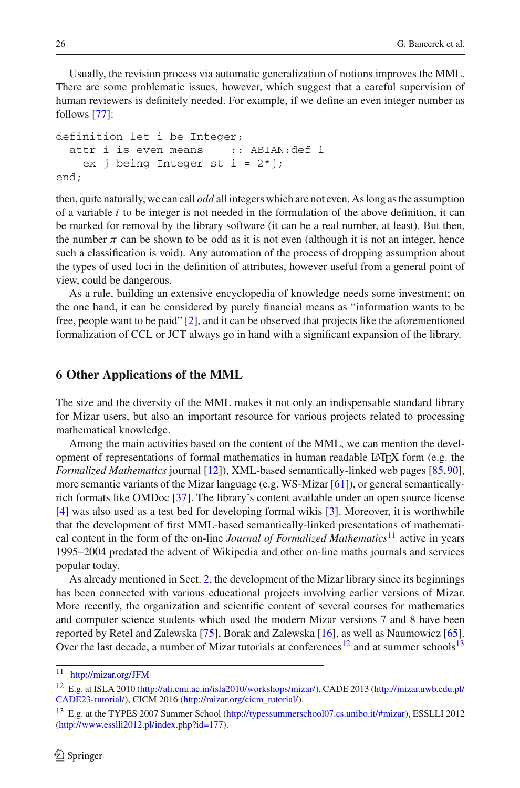Usually, the revision process via automatic generalization of notions improves the MML. There are some problematic issues, however, which suggest that a careful supervision of human reviewers is definitely needed. For example, if we define an even integer number as follows [\[77](#page-22-18)]:

```
definition let i be Integer;
  attr i is even means :: ABIAN:def 1
    ex j being Integer st i = 2 \times j;
end;
```
then, quite naturally, we can call *odd* all integers which are not even. As long as the assumption of a variable *i* to be integer is not needed in the formulation of the above definition, it can be marked for removal by the library software (it can be a real number, at least). But then, the number  $\pi$  can be shown to be odd as it is not even (although it is not an integer, hence such a classification is void). Any automation of the process of dropping assumption about the types of used loci in the definition of attributes, however useful from a general point of view, could be dangerous.

As a rule, building an extensive encyclopedia of knowledge needs some investment; on the one hand, it can be considered by purely financial means as "information wants to be free, people want to be paid" [\[2](#page-19-7)], and it can be observed that projects like the aforementioned formalization of CCL or JCT always go in hand with a significant expansion of the library.

### **6 Other Applications of the MML**

The size and the diversity of the MML makes it not only an indispensable standard library for Mizar users, but also an important resource for various projects related to processing mathematical knowledge.

Among the main activities based on the content of the MML, we can mention the development of representations of formal mathematics in human readable LATEX form (e.g. the *Formalized Mathematics* journal [\[12\]](#page-19-8)), XML-based semantically-linked web pages [\[85](#page-23-4)[,90\]](#page-23-5), more semantic variants of the Mizar language (e.g. WS-Mizar [\[61](#page-22-19)]), or general semanticallyrich formats like OMDoc [\[37](#page-21-10)]. The library's content available under an open source license [\[4](#page-19-9)] was also used as a test bed for developing formal wikis [\[3](#page-19-10)]. Moreover, it is worthwhile that the development of first MML-based semantically-linked presentations of mathematical content in the form of the on-line *Journal of Formalized Mathematics*[11](#page-17-0) active in years 1995–2004 predated the advent of Wikipedia and other on-line maths journals and services popular today.

As already mentioned in Sect. [2,](#page-1-0) the development of the Mizar library since its beginnings has been connected with various educational projects involving earlier versions of Mizar. More recently, the organization and scientific content of several courses for mathematics and computer science students which used the modern Mizar versions 7 and 8 have been reported by Retel and Zalewska [\[75](#page-22-20)], Borak and Zalewska [\[16\]](#page-19-11), as well as Naumowicz [\[65\]](#page-22-21). Over the last decade, a number of Mizar tutorials at conferences<sup>12</sup> and at summer schools<sup>13</sup>

<sup>11</sup> <http://mizar.org/JFM>

<span id="page-17-1"></span><span id="page-17-0"></span><sup>12</sup> E.g. at ISLA 2010 [\(http://ali.cmi.ac.in/isla2010/workshops/mizar/\)](http://ali.cmi.ac.in/isla2010/workshops/mizar/), CADE 2013 [\(http://mizar.uwb.edu.pl/](http://mizar.uwb.edu.pl/CADE23-tutorial/) [CADE23-tutorial/\)](http://mizar.uwb.edu.pl/CADE23-tutorial/), CICM 2016 [\(http://mizar.org/cicm\\_tutorial/\)](http://mizar.org/cicm_tutorial/).

<span id="page-17-2"></span><sup>&</sup>lt;sup>13</sup> E.g. at the TYPES 2007 Summer School [\(http://typessummerschool07.cs.unibo.it/#mizar\)](http://typessummerschool07.cs.unibo.it/#mizar), ESSLLI 2012 [\(http://www.esslli2012.pl/index.php?id=177\)](http://www.esslli2012.pl/index.php?id=177).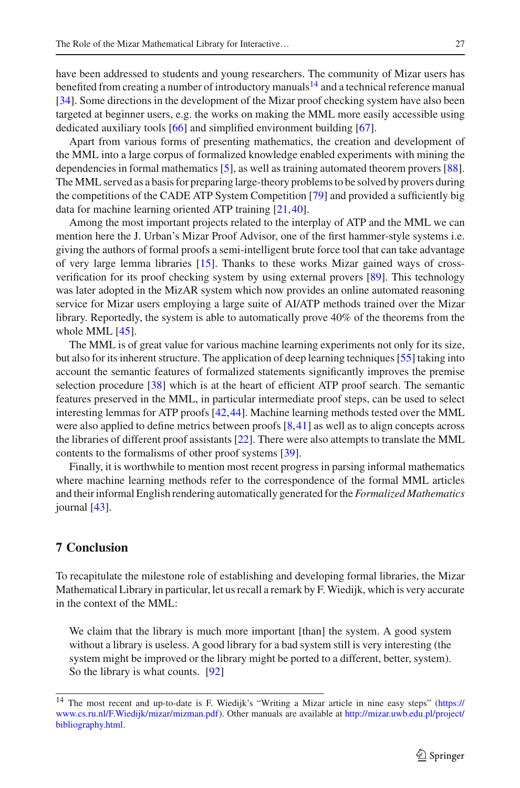have been addressed to students and young researchers. The community of Mizar users has benefited from creating a number of introductory manuals $^{14}$  $^{14}$  $^{14}$  and a technical reference manual [\[34\]](#page-20-6). Some directions in the development of the Mizar proof checking system have also been targeted at beginner users, e.g. the works on making the MML more easily accessible using dedicated auxiliary tools [\[66](#page-22-8)] and simplified environment building [\[67](#page-22-22)].

Apart from various forms of presenting mathematics, the creation and development of the MML into a large corpus of formalized knowledge enabled experiments with mining the dependencies in formal mathematics [\[5](#page-19-12)], as well as training automated theorem provers [\[88\]](#page-23-6). The MML served as a basis for preparing large-theory problems to be solved by provers during the competitions of the CADE ATP System Competition [\[79\]](#page-22-23) and provided a sufficiently big data for machine learning oriented ATP training [\[21,](#page-20-16)[40](#page-21-11)].

Among the most important projects related to the interplay of ATP and the MML we can mention here the J. Urban's Mizar Proof Advisor, one of the first hammer-style systems i.e. giving the authors of formal proofs a semi-intelligent brute force tool that can take advantage of very large lemma libraries [\[15\]](#page-19-13). Thanks to these works Mizar gained ways of crossverification for its proof checking system by using external provers [\[89\]](#page-23-7). This technology was later adopted in the MizAR system which now provides an online automated reasoning service for Mizar users employing a large suite of AI/ATP methods trained over the Mizar library. Reportedly, the system is able to automatically prove 40% of the theorems from the whole MML [\[45](#page-21-12)].

The MML is of great value for various machine learning experiments not only for its size, but also for its inherent structure. The application of deep learning techniques [\[55](#page-21-13)] taking into account the semantic features of formalized statements significantly improves the premise selection procedure [\[38](#page-21-14)] which is at the heart of efficient ATP proof search. The semantic features preserved in the MML, in particular intermediate proof steps, can be used to select interesting lemmas for ATP proofs [\[42,](#page-21-15)[44](#page-21-16)]. Machine learning methods tested over the MML were also applied to define metrics between proofs  $[8,41]$  $[8,41]$  $[8,41]$  $[8,41]$  as well as to align concepts across the libraries of different proof assistants [\[22\]](#page-20-17). There were also attempts to translate the MML contents to the formalisms of other proof systems [\[39\]](#page-21-18).

Finally, it is worthwhile to mention most recent progress in parsing informal mathematics where machine learning methods refer to the correspondence of the formal MML articles and their informal English rendering automatically generated for the*Formalized Mathematics* journal [\[43\]](#page-21-19).

### **7 Conclusion**

To recapitulate the milestone role of establishing and developing formal libraries, the Mizar Mathematical Library in particular, let us recall a remark by F. Wiedijk, which is very accurate in the context of the MML:

We claim that the library is much more important [than] the system. A good system without a library is useless. A good library for a bad system still is very interesting (the system might be improved or the library might be ported to a different, better, system). So the library is what counts. [\[92](#page-23-8)]

<span id="page-18-0"></span><sup>14</sup> The most recent and up-to-date is F. Wiedijk's "Writing a Mizar article in nine easy steps" [\(https://](https://www.cs.ru.nl/F.Wiedijk/mizar/mizman.pdf) [www.cs.ru.nl/F.Wiedijk/mizar/mizman.pdf\)](https://www.cs.ru.nl/F.Wiedijk/mizar/mizman.pdf). Other manuals are available at [http://mizar.uwb.edu.pl/project/](http://mizar.uwb.edu.pl/project/bibliography.html) [bibliography.html.](http://mizar.uwb.edu.pl/project/bibliography.html)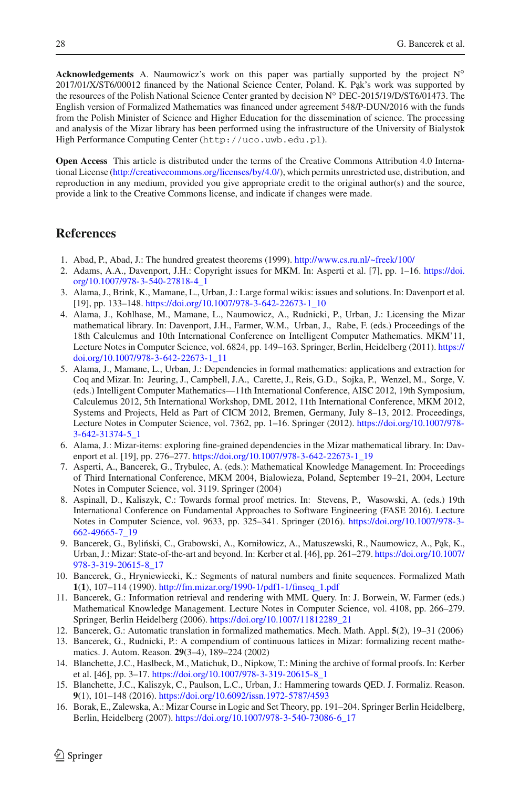**Acknowledgements** A. Naumowicz's work on this paper was partially supported by the project N◦ 2017/01/X/ST6/00012 financed by the National Science Center, Poland. K. Pak's work was supported by the resources of the Polish National Science Center granted by decision N° DEC-2015/19/D/ST6/01473. The English version of Formalized Mathematics was financed under agreement 548/P-DUN/2016 with the funds from the Polish Minister of Science and Higher Education for the dissemination of science. The processing and analysis of the Mizar library has been performed using the infrastructure of the University of Bialystok High Performance Computing Center (http://uco.uwb.edu.pl).

**Open Access** This article is distributed under the terms of the Creative Commons Attribution 4.0 International License [\(http://creativecommons.org/licenses/by/4.0/\)](http://creativecommons.org/licenses/by/4.0/), which permits unrestricted use, distribution, and reproduction in any medium, provided you give appropriate credit to the original author(s) and the source, provide a link to the Creative Commons license, and indicate if changes were made.

### **References**

- <span id="page-19-3"></span>1. Abad, P., Abad, J.: The hundred greatest theorems (1999). <http://www.cs.ru.nl/~freek/100/>
- <span id="page-19-7"></span>2. Adams, A.A., Davenport, J.H.: Copyright issues for MKM. In: Asperti et al. [7], pp. 1–16. [https://doi.](https://doi.org/10.1007/978-3-540-27818-4_1) [org/10.1007/978-3-540-27818-4\\_1](https://doi.org/10.1007/978-3-540-27818-4_1)
- <span id="page-19-10"></span>3. Alama, J., Brink, K., Mamane, L., Urban, J.: Large formal wikis: issues and solutions. In: Davenport et al. [19], pp. 133–148. [https://doi.org/10.1007/978-3-642-22673-1\\_10](https://doi.org/10.1007/978-3-642-22673-1_10)
- <span id="page-19-9"></span>4. Alama, J., Kohlhase, M., Mamane, L., Naumowicz, A., Rudnicki, P., Urban, J.: Licensing the Mizar mathematical library. In: Davenport, J.H., Farmer, W.M., Urban, J., Rabe, F. (eds.) Proceedings of the 18th Calculemus and 10th International Conference on Intelligent Computer Mathematics. MKM'11, Lecture Notes in Computer Science, vol. 6824, pp. 149–163. Springer, Berlin, Heidelberg (2011). [https://](https://doi.org/10.1007/978-3-642-22673-1_11) [doi.org/10.1007/978-3-642-22673-1\\_11](https://doi.org/10.1007/978-3-642-22673-1_11)
- <span id="page-19-12"></span>5. Alama, J., Mamane, L., Urban, J.: Dependencies in formal mathematics: applications and extraction for Coq and Mizar. In: Jeuring, J., Campbell, J.A., Carette, J., Reis, G.D., Sojka, P., Wenzel, M., Sorge, V. (eds.) Intelligent Computer Mathematics—11th International Conference, AISC 2012, 19th Symposium, Calculemus 2012, 5th International Workshop, DML 2012, 11th International Conference, MKM 2012, Systems and Projects, Held as Part of CICM 2012, Bremen, Germany, July 8–13, 2012. Proceedings, Lecture Notes in Computer Science, vol. 7362, pp. 1–16. Springer (2012). [https://doi.org/10.1007/978-](https://doi.org/10.1007/978-3-642-31374-5_1) [3-642-31374-5\\_1](https://doi.org/10.1007/978-3-642-31374-5_1)
- <span id="page-19-2"></span>6. Alama, J.: Mizar-items: exploring fine-grained dependencies in the Mizar mathematical library. In: Davenport et al. [19], pp. 276–277. [https://doi.org/10.1007/978-3-642-22673-1\\_19](https://doi.org/10.1007/978-3-642-22673-1_19)
- 7. Asperti, A., Bancerek, G., Trybulec, A. (eds.): Mathematical Knowledge Management. In: Proceedings of Third International Conference, MKM 2004, Bialowieza, Poland, September 19–21, 2004, Lecture Notes in Computer Science, vol. 3119. Springer (2004)
- <span id="page-19-14"></span>8. Aspinall, D., Kaliszyk, C.: Towards formal proof metrics. In: Stevens, P., Wasowski, A. (eds.) 19th International Conference on Fundamental Approaches to Software Engineering (FASE 2016). Lecture Notes in Computer Science, vol. 9633, pp. 325–341. Springer (2016). [https://doi.org/10.1007/978-3-](https://doi.org/10.1007/978-3-662-49665-7_19) [662-49665-7\\_19](https://doi.org/10.1007/978-3-662-49665-7_19)
- <span id="page-19-0"></span>9. Bancerek, G., Byliński, C., Grabowski, A., Korniłowicz, A., Matuszewski, R., Naumowicz, A., Pak, K., Urban, J.: Mizar: State-of-the-art and beyond. In: Kerber et al. [46], pp. 261–279. [https://doi.org/10.1007/](https://doi.org/10.1007/978-3-319-20615-8_17) [978-3-319-20615-8\\_17](https://doi.org/10.1007/978-3-319-20615-8_17)
- <span id="page-19-5"></span>10. Bancerek, G., Hryniewiecki, K.: Segments of natural numbers and finite sequences. Formalized Math **1**(**1**), 107–114 (1990). [http://fm.mizar.org/1990-1/pdf1-1/finseq\\_1.pdf](http://fm.mizar.org/1990-1/pdf1-1/finseq_1.pdf)
- <span id="page-19-6"></span>11. Bancerek, G.: Information retrieval and rendering with MML Query. In: J. Borwein, W. Farmer (eds.) Mathematical Knowledge Management. Lecture Notes in Computer Science, vol. 4108, pp. 266–279. Springer, Berlin Heidelberg (2006). [https://doi.org/10.1007/11812289\\_21](https://doi.org/10.1007/11812289_21)
- <span id="page-19-8"></span>12. Bancerek, G.: Automatic translation in formalized mathematics. Mech. Math. Appl. **5**(2), 19–31 (2006)
- <span id="page-19-4"></span>13. Bancerek, G., Rudnicki, P.: A compendium of continuous lattices in Mizar: formalizing recent mathematics. J. Autom. Reason. **29**(3–4), 189–224 (2002)
- <span id="page-19-1"></span>14. Blanchette, J.C., Haslbeck, M., Matichuk, D., Nipkow, T.: Mining the archive of formal proofs. In: Kerber et al. [46], pp. 3–17. [https://doi.org/10.1007/978-3-319-20615-8\\_1](https://doi.org/10.1007/978-3-319-20615-8_1)
- <span id="page-19-13"></span>15. Blanchette, J.C., Kaliszyk, C., Paulson, L.C., Urban, J.: Hammering towards QED. J. Formaliz. Reason. **9**(1), 101–148 (2016). <https://doi.org/10.6092/issn.1972-5787/4593>
- <span id="page-19-11"></span>16. Borak, E., Zalewska, A.: Mizar Course in Logic and Set Theory, pp. 191–204. Springer Berlin Heidelberg, Berlin, Heidelberg (2007). [https://doi.org/10.1007/978-3-540-73086-6\\_17](https://doi.org/10.1007/978-3-540-73086-6_17)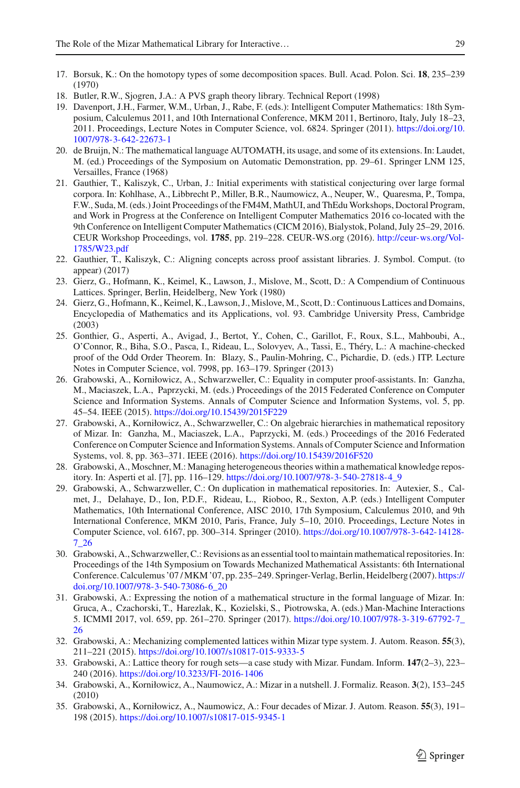- 
- <span id="page-20-4"></span>17. Borsuk, K.: On the homotopy types of some decomposition spaces. Bull. Acad. Polon. Sci. **18**, 235–239 (1970)
- <span id="page-20-3"></span>18. Butler, R.W., Sjogren, J.A.: A PVS graph theory library. Technical Report (1998)
- 19. Davenport, J.H., Farmer, W.M., Urban, J., Rabe, F. (eds.): Intelligent Computer Mathematics: 18th Symposium, Calculemus 2011, and 10th International Conference, MKM 2011, Bertinoro, Italy, July 18–23, 2011. Proceedings, Lecture Notes in Computer Science, vol. 6824. Springer (2011). [https://doi.org/10.](https://doi.org/10.1007/978-3-642-22673-1) [1007/978-3-642-22673-1](https://doi.org/10.1007/978-3-642-22673-1)
- <span id="page-20-0"></span>20. de Bruijn, N.: The mathematical language AUTOMATH, its usage, and some of its extensions. In: Laudet, M. (ed.) Proceedings of the Symposium on Automatic Demonstration, pp. 29–61. Springer LNM 125, Versailles, France (1968)
- <span id="page-20-16"></span>21. Gauthier, T., Kaliszyk, C., Urban, J.: Initial experiments with statistical conjecturing over large formal corpora. In: Kohlhase, A., Libbrecht P., Miller, B.R., Naumowicz, A., Neuper, W., Quaresma, P., Tompa, F.W., Suda, M. (eds.) Joint Proceedings of the FM4M, MathUI, and ThEdu Workshops, Doctoral Program, and Work in Progress at the Conference on Intelligent Computer Mathematics 2016 co-located with the 9th Conference on Intelligent Computer Mathematics (CICM 2016), Bialystok, Poland, July 25–29, 2016. CEUR Workshop Proceedings, vol. **1785**, pp. 219–228. CEUR-WS.org (2016). [http://ceur-ws.org/Vol-](http://ceur-ws.org/Vol-1785/W23.pdf)[1785/W23.pdf](http://ceur-ws.org/Vol-1785/W23.pdf)
- <span id="page-20-17"></span>22. Gauthier, T., Kaliszyk, C.: Aligning concepts across proof assistant libraries. J. Symbol. Comput. (to appear) (2017)
- <span id="page-20-9"></span>23. Gierz, G., Hofmann, K., Keimel, K., Lawson, J., Mislove, M., Scott, D.: A Compendium of Continuous Lattices. Springer, Berlin, Heidelberg, New York (1980)
- <span id="page-20-11"></span>24. Gierz, G., Hofmann, K., Keimel, K., Lawson, J., Mislove, M., Scott, D.: Continuous Lattices and Domains, Encyclopedia of Mathematics and its Applications, vol. 93. Cambridge University Press, Cambridge (2003)
- <span id="page-20-2"></span>25. Gonthier, G., Asperti, A., Avigad, J., Bertot, Y., Cohen, C., Garillot, F., Roux, S.L., Mahboubi, A., O'Connor, R., Biha, S.O., Pasca, I., Rideau, L., Solovyev, A., Tassi, E., Théry, L.: A machine-checked proof of the Odd Order Theorem. In: Blazy, S., Paulin-Mohring, C., Pichardie, D. (eds.) ITP. Lecture Notes in Computer Science, vol. 7998, pp. 163–179. Springer (2013)
- <span id="page-20-7"></span>26. Grabowski, A., Korniłowicz, A., Schwarzweller, C.: Equality in computer proof-assistants. In: Ganzha, M., Maciaszek, L.A., Paprzycki, M. (eds.) Proceedings of the 2015 Federated Conference on Computer Science and Information Systems. Annals of Computer Science and Information Systems, vol. 5, pp. 45–54. IEEE (2015). <https://doi.org/10.15439/2015F229>
- <span id="page-20-14"></span>27. Grabowski, A., Korniłowicz, A., Schwarzweller, C.: On algebraic hierarchies in mathematical repository of Mizar. In: Ganzha, M., Maciaszek, L.A., Paprzycki, M. (eds.) Proceedings of the 2016 Federated Conference on Computer Science and Information Systems. Annals of Computer Science and Information Systems, vol. 8, pp. 363–371. IEEE (2016). <https://doi.org/10.15439/2016F520>
- <span id="page-20-12"></span>28. Grabowski, A., Moschner, M.: Managing heterogeneous theories within a mathematical knowledge repository. In: Asperti et al. [7], pp. 116–129. [https://doi.org/10.1007/978-3-540-27818-4\\_9](https://doi.org/10.1007/978-3-540-27818-4_9)
- <span id="page-20-15"></span>29. Grabowski, A., Schwarzweller, C.: On duplication in mathematical repositories. In: Autexier, S., Calmet, J., Delahaye, D., Ion, P.D.F., Rideau, L., Rioboo, R., Sexton, A.P. (eds.) Intelligent Computer Mathematics, 10th International Conference, AISC 2010, 17th Symposium, Calculemus 2010, and 9th International Conference, MKM 2010, Paris, France, July 5–10, 2010. Proceedings, Lecture Notes in Computer Science, vol. 6167, pp. 300–314. Springer (2010). [https://doi.org/10.1007/978-3-642-14128-](https://doi.org/10.1007/978-3-642-14128-7_26) [7\\_26](https://doi.org/10.1007/978-3-642-14128-7_26)
- <span id="page-20-5"></span>30. Grabowski, A., Schwarzweller, C.: Revisions as an essential tool to maintain mathematical repositories. In: Proceedings of the 14th Symposium on Towards Mechanized Mathematical Assistants: 6th International Conference. Calculemus '07 /MKM '07, pp. 235–249. Springer-Verlag, Berlin, Heidelberg (2007). [https://](https://doi.org/10.1007/978-3-540-73086-6_20) [doi.org/10.1007/978-3-540-73086-6\\_20](https://doi.org/10.1007/978-3-540-73086-6_20)
- <span id="page-20-10"></span>31. Grabowski, A.: Expressing the notion of a mathematical structure in the formal language of Mizar. In: Gruca, A., Czachorski, T., Harezlak, K., Kozielski, S., Piotrowska, A. (eds.) Man-Machine Interactions 5. ICMMI 2017, vol. 659, pp. 261–270. Springer (2017). [https://doi.org/10.1007/978-3-319-67792-7\\_](https://doi.org/10.1007/978-3-319-67792-7_26) [26](https://doi.org/10.1007/978-3-319-67792-7_26)
- <span id="page-20-13"></span>32. Grabowski, A.: Mechanizing complemented lattices within Mizar type system. J. Autom. Reason. **55**(3), 211–221 (2015). <https://doi.org/10.1007/s10817-015-9333-5>
- <span id="page-20-8"></span>33. Grabowski, A.: Lattice theory for rough sets—a case study with Mizar. Fundam. Inform. **147**(2–3), 223– 240 (2016). <https://doi.org/10.3233/FI-2016-1406>
- <span id="page-20-6"></span>34. Grabowski, A., Korniłowicz, A., Naumowicz, A.: Mizar in a nutshell. J. Formaliz. Reason. **3**(2), 153–245 (2010)
- <span id="page-20-1"></span>35. Grabowski, A., Korniłowicz, A., Naumowicz, A.: Four decades of Mizar. J. Autom. Reason. **55**(3), 191– 198 (2015). <https://doi.org/10.1007/s10817-015-9345-1>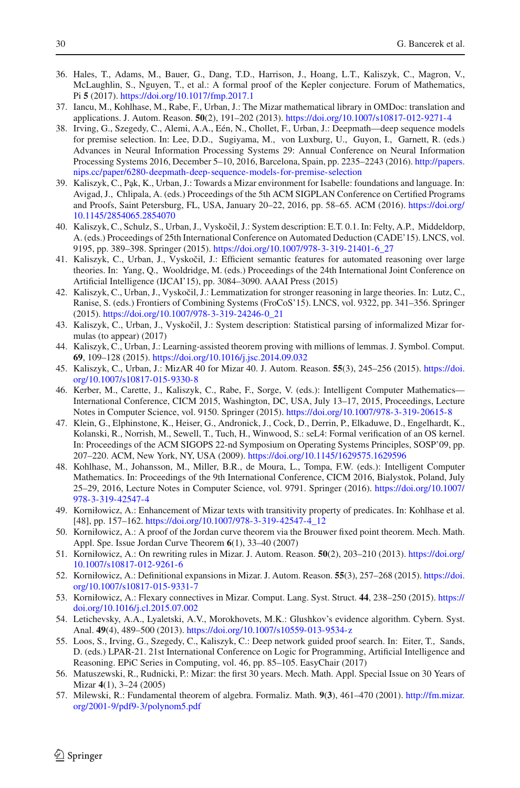- <span id="page-21-2"></span>36. Hales, T., Adams, M., Bauer, G., Dang, T.D., Harrison, J., Hoang, L.T., Kaliszyk, C., Magron, V., McLaughlin, S., Nguyen, T., et al.: A formal proof of the Kepler conjecture. Forum of Mathematics, Pi **5** (2017). <https://doi.org/10.1017/fmp.2017.1>
- <span id="page-21-10"></span>37. Iancu, M., Kohlhase, M., Rabe, F., Urban, J.: The Mizar mathematical library in OMDoc: translation and applications. J. Autom. Reason. **50**(2), 191–202 (2013). <https://doi.org/10.1007/s10817-012-9271-4>
- <span id="page-21-14"></span>38. Irving, G., Szegedy, C., Alemi, A.A., Eén, N., Chollet, F., Urban, J.: Deepmath—deep sequence models for premise selection. In: Lee, D.D., Sugiyama, M., von Luxburg, U., Guyon, I., Garnett, R. (eds.) Advances in Neural Information Processing Systems 29: Annual Conference on Neural Information Processing Systems 2016, December 5–10, 2016, Barcelona, Spain, pp. 2235–2243 (2016). [http://papers.](http://papers.nips.cc/paper/6280-deepmath-deep-sequence-models-for-premise-selection) [nips.cc/paper/6280-deepmath-deep-sequence-models-for-premise-selection](http://papers.nips.cc/paper/6280-deepmath-deep-sequence-models-for-premise-selection)
- <span id="page-21-18"></span>39. Kaliszyk, C., Pa˛k, K., Urban, J.: Towards a Mizar environment for Isabelle: foundations and language. In: Avigad, J., Chlipala, A. (eds.) Proceedings of the 5th ACM SIGPLAN Conference on Certified Programs and Proofs, Saint Petersburg, FL, USA, January 20–22, 2016, pp. 58–65. ACM (2016). [https://doi.org/](https://doi.org/10.1145/2854065.2854070) [10.1145/2854065.2854070](https://doi.org/10.1145/2854065.2854070)
- <span id="page-21-11"></span>40. Kaliszyk, C., Schulz, S., Urban, J., Vyskočil, J.: System description: E.T. 0.1. In: Felty, A.P., Middeldorp, A. (eds.) Proceedings of 25th International Conference on Automated Deduction (CADE'15). LNCS, vol. 9195, pp. 389–398. Springer (2015). [https://doi.org/10.1007/978-3-319-21401-6\\_27](https://doi.org/10.1007/978-3-319-21401-6_27)
- <span id="page-21-17"></span>41. Kaliszyk, C., Urban, J., Vyskočil, J.: Efficient semantic features for automated reasoning over large theories. In: Yang, Q., Wooldridge, M. (eds.) Proceedings of the 24th International Joint Conference on Artificial Intelligence (IJCAI'15), pp. 3084–3090. AAAI Press (2015)
- <span id="page-21-15"></span>42. Kaliszyk, C., Urban, J., Vyskočil, J.: Lemmatization for stronger reasoning in large theories. In: Lutz, C., Ranise, S. (eds.) Frontiers of Combining Systems (FroCoS'15). LNCS, vol. 9322, pp. 341–356. Springer (2015). [https://doi.org/10.1007/978-3-319-24246-0\\_21](https://doi.org/10.1007/978-3-319-24246-0_21)
- <span id="page-21-19"></span>43. Kaliszyk, C., Urban, J., Vyskočil, J.: System description: Statistical parsing of informalized Mizar formulas (to appear) (2017)
- <span id="page-21-16"></span>44. Kaliszyk, C., Urban, J.: Learning-assisted theorem proving with millions of lemmas. J. Symbol. Comput. **69**, 109–128 (2015). <https://doi.org/10.1016/j.jsc.2014.09.032>
- <span id="page-21-12"></span>45. Kaliszyk, C., Urban, J.: MizAR 40 for Mizar 40. J. Autom. Reason. **55**(3), 245–256 (2015). [https://doi.](https://doi.org/10.1007/s10817-015-9330-8) [org/10.1007/s10817-015-9330-8](https://doi.org/10.1007/s10817-015-9330-8)
- 46. Kerber, M., Carette, J., Kaliszyk, C., Rabe, F., Sorge, V. (eds.): Intelligent Computer Mathematics— International Conference, CICM 2015, Washington, DC, USA, July 13–17, 2015, Proceedings, Lecture Notes in Computer Science, vol. 9150. Springer (2015). <https://doi.org/10.1007/978-3-319-20615-8>
- <span id="page-21-3"></span>47. Klein, G., Elphinstone, K., Heiser, G., Andronick, J., Cock, D., Derrin, P., Elkaduwe, D., Engelhardt, K., Kolanski, R., Norrish, M., Sewell, T., Tuch, H., Winwood, S.: seL4: Formal verification of an OS kernel. In: Proceedings of the ACM SIGOPS 22-nd Symposium on Operating Systems Principles, SOSP'09, pp. 207–220. ACM, New York, NY, USA (2009). <https://doi.org/10.1145/1629575.1629596>
- 48. Kohlhase, M., Johansson, M., Miller, B.R., de Moura, L., Tompa, F.W. (eds.): Intelligent Computer Mathematics. In: Proceedings of the 9th International Conference, CICM 2016, Bialystok, Poland, July 25–29, 2016, Lecture Notes in Computer Science, vol. 9791. Springer (2016). [https://doi.org/10.1007/](https://doi.org/10.1007/978-3-319-42547-4) [978-3-319-42547-4](https://doi.org/10.1007/978-3-319-42547-4)
- <span id="page-21-5"></span>49. Korniłowicz, A.: Enhancement of Mizar texts with transitivity property of predicates. In: Kohlhase et al. [48], pp. 157–162. [https://doi.org/10.1007/978-3-319-42547-4\\_12](https://doi.org/10.1007/978-3-319-42547-4_12)
- <span id="page-21-8"></span>50. Korniłowicz, A.: A proof of the Jordan curve theorem via the Brouwer fixed point theorem. Mech. Math. Appl. Spe. Issue Jordan Curve Theorem **6**(1), 33–40 (2007)
- <span id="page-21-6"></span>51. Korniłowicz, A.: On rewriting rules in Mizar. J. Autom. Reason. **50**(2), 203–210 (2013). [https://doi.org/](https://doi.org/10.1007/s10817-012-9261-6) [10.1007/s10817-012-9261-6](https://doi.org/10.1007/s10817-012-9261-6)
- <span id="page-21-4"></span>52. Korniłowicz, A.: Definitional expansions in Mizar. J. Autom. Reason. **55**(3), 257–268 (2015). [https://doi.](https://doi.org/10.1007/s10817-015-9331-7) [org/10.1007/s10817-015-9331-7](https://doi.org/10.1007/s10817-015-9331-7)
- <span id="page-21-9"></span>53. Korniłowicz, A.: Flexary connectives in Mizar. Comput. Lang. Syst. Struct. **44**, 238–250 (2015). [https://](https://doi.org/10.1016/j.cl.2015.07.002) [doi.org/10.1016/j.cl.2015.07.002](https://doi.org/10.1016/j.cl.2015.07.002)
- <span id="page-21-0"></span>54. Letichevsky, A.A., Lyaletski, A.V., Morokhovets, M.K.: Glushkov's evidence algorithm. Cybern. Syst. Anal. **49**(4), 489–500 (2013). <https://doi.org/10.1007/s10559-013-9534-z>
- <span id="page-21-13"></span>55. Loos, S., Irving, G., Szegedy, C., Kaliszyk, C.: Deep network guided proof search. In: Eiter, T., Sands, D. (eds.) LPAR-21. 21st International Conference on Logic for Programming, Artificial Intelligence and Reasoning. EPiC Series in Computing, vol. 46, pp. 85–105. EasyChair (2017)
- <span id="page-21-1"></span>56. Matuszewski, R., Rudnicki, P.: Mizar: the first 30 years. Mech. Math. Appl. Special Issue on 30 Years of Mizar **4**(1), 3–24 (2005)
- <span id="page-21-7"></span>57. Milewski, R.: Fundamental theorem of algebra. Formaliz. Math. **9**(**3**), 461–470 (2001). [http://fm.mizar.](http://fm.mizar.org/2001-9/pdf9-3/polynom5.pdf) [org/2001-9/pdf9-3/polynom5.pdf](http://fm.mizar.org/2001-9/pdf9-3/polynom5.pdf)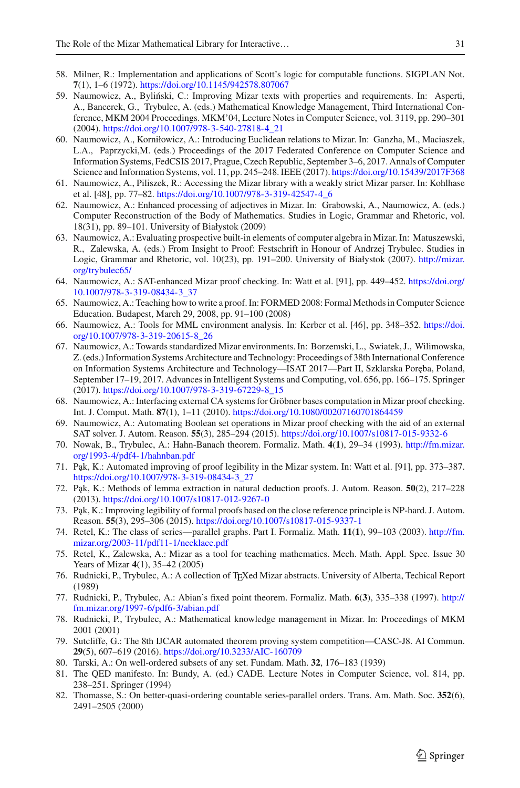- <span id="page-22-0"></span>58. Milner, R.: Implementation and applications of Scott's logic for computable functions. SIGPLAN Not. **7**(1), 1–6 (1972). <https://doi.org/10.1145/942578.807067>
- <span id="page-22-3"></span>59. Naumowicz, A., Byliński, C.: Improving Mizar texts with properties and requirements. In: Asperti, A., Bancerek, G., Trybulec, A. (eds.) Mathematical Knowledge Management, Third International Conference, MKM 2004 Proceedings. MKM'04, Lecture Notes in Computer Science, vol. 3119, pp. 290–301 (2004). [https://doi.org/10.1007/978-3-540-27818-4\\_21](https://doi.org/10.1007/978-3-540-27818-4_21)
- <span id="page-22-7"></span>60. Naumowicz, A., Korniłowicz, A.: Introducing Euclidean relations to Mizar. In: Ganzha, M., Maciaszek, L.A., Paprzycki,M. (eds.) Proceedings of the 2017 Federated Conference on Computer Science and Information Systems, FedCSIS 2017, Prague, Czech Republic, September 3–6, 2017. Annals of Computer Science and Information Systems, vol. 11, pp. 245–248. IEEE (2017). <https://doi.org/10.15439/2017F368>
- <span id="page-22-19"></span>61. Naumowicz, A., Piliszek, R.: Accessing the Mizar library with a weakly strict Mizar parser. In: Kohlhase et al. [48], pp. 77–82. [https://doi.org/10.1007/978-3-319-42547-4\\_6](https://doi.org/10.1007/978-3-319-42547-4_6)
- <span id="page-22-6"></span>62. Naumowicz, A.: Enhanced processing of adjectives in Mizar. In: Grabowski, A., Naumowicz, A. (eds.) Computer Reconstruction of the Body of Mathematics. Studies in Logic, Grammar and Rhetoric, vol. 18(31), pp. 89–101. University of Białystok (2009)
- <span id="page-22-4"></span>63. Naumowicz, A.: Evaluating prospective built-in elements of computer algebra in Mizar. In: Matuszewski, R., Zalewska, A. (eds.) From Insight to Proof: Festschrift in Honour of Andrzej Trybulec. Studies in Logic, Grammar and Rhetoric, vol. 10(23), pp. 191–200. University of Białystok (2007). [http://mizar.](http://mizar.org/trybulec65/) [org/trybulec65/](http://mizar.org/trybulec65/)
- <span id="page-22-13"></span>64. Naumowicz, A.: SAT-enhanced Mizar proof checking. In: Watt et al. [91], pp. 449–452. [https://doi.org/](https://doi.org/10.1007/978-3-319-08434-3_37) [10.1007/978-3-319-08434-3\\_37](https://doi.org/10.1007/978-3-319-08434-3_37)
- <span id="page-22-21"></span>65. Naumowicz, A.: Teaching how to write a proof. In: FORMED 2008: Formal Methods in Computer Science Education. Budapest, March 29, 2008, pp. 91–100 (2008)
- <span id="page-22-8"></span>66. Naumowicz, A.: Tools for MML environment analysis. In: Kerber et al. [46], pp. 348–352. [https://doi.](https://doi.org/10.1007/978-3-319-20615-8_26) [org/10.1007/978-3-319-20615-8\\_26](https://doi.org/10.1007/978-3-319-20615-8_26)
- <span id="page-22-22"></span>67. Naumowicz, A.: Towards standardized Mizar environments. In: Borzemski, L., Swiatek, J., Wilimowska, Z. (eds.) Information Systems Architecture and Technology: Proceedings of 38th International Conference on Information Systems Architecture and Technology—ISAT 2017—Part II, Szklarska Poręba, Poland, September 17–19, 2017. Advances in Intelligent Systems and Computing, vol. 656, pp. 166–175. Springer (2017). [https://doi.org/10.1007/978-3-319-67229-8\\_15](https://doi.org/10.1007/978-3-319-67229-8_15)
- <span id="page-22-5"></span>68. Naumowicz, A.: Interfacing external CA systems for Gröbner bases computation in Mizar proof checking. Int. J. Comput. Math. **87**(1), 1–11 (2010). <https://doi.org/10.1080/00207160701864459>
- <span id="page-22-14"></span>69. Naumowicz, A.: Automating Boolean set operations in Mizar proof checking with the aid of an external SAT solver. J. Autom. Reason. **55**(3), 285–294 (2015). <https://doi.org/10.1007/s10817-015-9332-6>
- <span id="page-22-9"></span>70. Nowak, B., Trybulec, A.: Hahn-Banach theorem. Formaliz. Math. **4**(**1**), 29–34 (1993). [http://fm.mizar.](http://fm.mizar.org/1993-4/pdf4-1/hahnban.pdf) [org/1993-4/pdf4-1/hahnban.pdf](http://fm.mizar.org/1993-4/pdf4-1/hahnban.pdf)
- <span id="page-22-15"></span>71. Pa˛k, K.: Automated improving of proof legibility in the Mizar system. In: Watt et al. [91], pp. 373–387. [https://doi.org/10.1007/978-3-319-08434-3\\_27](https://doi.org/10.1007/978-3-319-08434-3_27)
- 72. Pa˛k, K.: Methods of lemma extraction in natural deduction proofs. J. Autom. Reason. **50**(2), 217–228 (2013). <https://doi.org/10.1007/s10817-012-9267-0>
- <span id="page-22-16"></span>73. Pąk, K.: Improving legibility of formal proofs based on the close reference principle is NP-hard. J. Autom. Reason. **55**(3), 295–306 (2015). <https://doi.org/10.1007/s10817-015-9337-1>
- <span id="page-22-12"></span>74. Retel, K.: The class of series—parallel graphs. Part I. Formaliz. Math. **11**(**1**), 99–103 (2003). [http://fm.](http://fm.mizar.org/2003-11/pdf11-1/necklace.pdf) [mizar.org/2003-11/pdf11-1/necklace.pdf](http://fm.mizar.org/2003-11/pdf11-1/necklace.pdf)
- <span id="page-22-20"></span>75. Retel, K., Zalewska, A.: Mizar as a tool for teaching mathematics. Mech. Math. Appl. Spec. Issue 30 Years of Mizar **4**(1), 35–42 (2005)
- <span id="page-22-2"></span>76. Rudnicki, P., Trybulec, A.: A collection of TEXed Mizar abstracts. University of Alberta, Techical Report (1989)
- <span id="page-22-18"></span>77. Rudnicki, P., Trybulec, A.: Abian's fixed point theorem. Formaliz. Math. **6**(**3**), 335–338 (1997). [http://](http://fm.mizar.org/1997-6/pdf6-3/abian.pdf) [fm.mizar.org/1997-6/pdf6-3/abian.pdf](http://fm.mizar.org/1997-6/pdf6-3/abian.pdf)
- <span id="page-22-17"></span>78. Rudnicki, P., Trybulec, A.: Mathematical knowledge management in Mizar. In: Proceedings of MKM 2001 (2001)
- <span id="page-22-23"></span>79. Sutcliffe, G.: The 8th IJCAR automated theorem proving system competition—CASC-J8. AI Commun. **29**(5), 607–619 (2016). <https://doi.org/10.3233/AIC-160709>
- <span id="page-22-1"></span>80. Tarski, A.: On well-ordered subsets of any set. Fundam. Math. **32**, 176–183 (1939)
- <span id="page-22-10"></span>81. The QED manifesto. In: Bundy, A. (ed.) CADE. Lecture Notes in Computer Science, vol. 814, pp. 238–251. Springer (1994)
- <span id="page-22-11"></span>82. Thomasse, S.: On better-quasi-ordering countable series-parallel orders. Trans. Am. Math. Soc. **352**(6), 2491–2505 (2000)